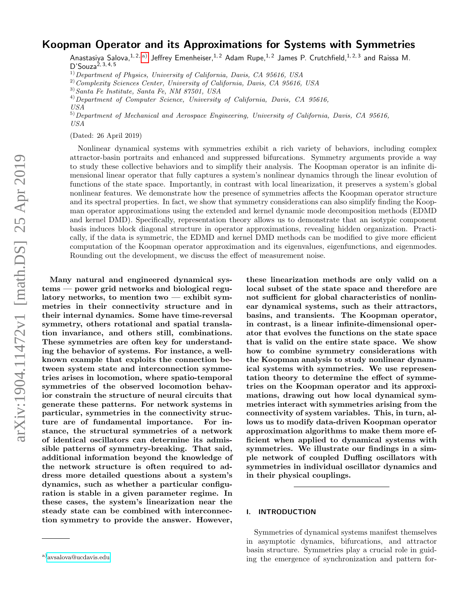# Koopman Operator and its Approximations for Systems with Symmetries

Anastasiya Salova, <sup>1, 2, [a\)](#page-0-0)</sup> Jeffrey Emenheiser, <sup>1, 2</sup> Adam Rupe, <sup>1, 2</sup> James P. Crutchfield, <sup>1, 2, 3</sup> and Raissa M.  $D'Souza<sup>2, 3, 4, 5</sup>$ 

 $^{1)}$ Department of Physics, University of California, Davis, CA 95616, USA

<sup>2)</sup> Complexity Sciences Center, University of California, Davis, CA 95616, USA

 $^{4)}$ Department of Computer Science, University of California, Davis, CA 95616, USA

5)Department of Mechanical and Aerospace Engineering, University of California, Davis, CA 95616, USA

(Dated: 26 April 2019)

Nonlinear dynamical systems with symmetries exhibit a rich variety of behaviors, including complex attractor-basin portraits and enhanced and suppressed bifurcations. Symmetry arguments provide a way to study these collective behaviors and to simplify their analysis. The Koopman operator is an infinite dimensional linear operator that fully captures a system's nonlinear dynamics through the linear evolution of functions of the state space. Importantly, in contrast with local linearization, it preserves a system's global nonlinear features. We demonstrate how the presence of symmetries affects the Koopman operator structure and its spectral properties. In fact, we show that symmetry considerations can also simplify finding the Koopman operator approximations using the extended and kernel dynamic mode decomposition methods (EDMD and kernel DMD). Specifically, representation theory allows us to demonstrate that an isotypic component basis induces block diagonal structure in operator approximations, revealing hidden organization. Practically, if the data is symmetric, the EDMD and kernel DMD methods can be modified to give more efficient computation of the Koopman operator approximation and its eigenvalues, eigenfunctions, and eigenmodes. Rounding out the development, we discuss the effect of measurement noise.

Many natural and engineered dynamical systems — power grid networks and biological regulatory networks, to mention two — exhibit symmetries in their connectivity structure and in their internal dynamics. Some have time-reversal symmetry, others rotational and spatial translation invariance, and others still, combinations. These symmetries are often key for understanding the behavior of systems. For instance, a wellknown example that exploits the connection between system state and interconnection symmetries arises in locomotion, where spatio-temporal symmetries of the observed locomotion behavior constrain the structure of neural circuits that generate these patterns. For network systems in particular, symmetries in the connectivity structure are of fundamental importance. For instance, the structural symmetries of a network of identical oscillators can determine its admissible patterns of symmetry-breaking. That said, additional information beyond the knowledge of the network structure is often required to address more detailed questions about a system's dynamics, such as whether a particular configuration is stable in a given parameter regime. In these cases, the system's linearization near the steady state can be combined with interconnection symmetry to provide the answer. However,

these linearization methods are only valid on a local subset of the state space and therefore are not sufficient for global characteristics of nonlinear dynamical systems, such as their attractors, basins, and transients. The Koopman operator, in contrast, is a linear infinite-dimensional operator that evolves the functions on the state space that is valid on the entire state space. We show how to combine symmetry considerations with the Koopman analysis to study nonlinear dynamical systems with symmetries. We use representation theory to determine the effect of symmetries on the Koopman operator and its approximations, drawing out how local dynamical symmetries interact with symmetries arising from the connectivity of system variables. This, in turn, allows us to modify data-driven Koopman operator approximation algorithms to make them more efficient when applied to dynamical systems with symmetries. We illustrate our findings in a simple network of coupled Duffing oscillators with symmetries in individual oscillator dynamics and in their physical couplings.

### I. INTRODUCTION

Symmetries of dynamical systems manifest themselves in asymptotic dynamics, bifurcations, and attractor basin structure. Symmetries play a crucial role in guiding the emergence of synchronization and pattern for-

<sup>3)</sup>Santa Fe Institute, Santa Fe, NM 87501, USA

<span id="page-0-0"></span>a)[avsalova@ucdavis.edu](mailto:avsalova@ucdavis.edu)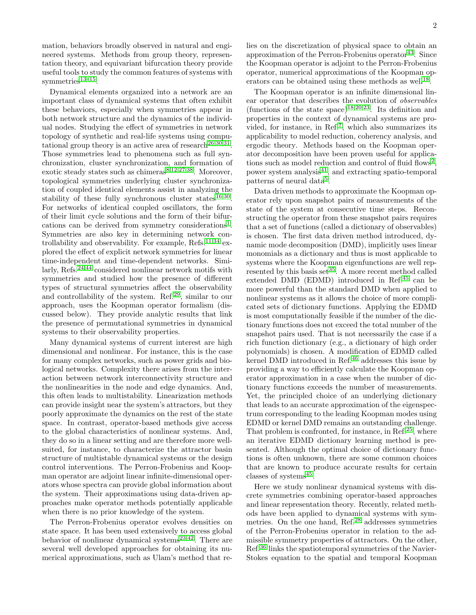mation, behaviors broadly observed in natural and engineered systems. Methods from group theory, representation theory, and equivariant bifurcation theory provide useful tools to study the common features of systems with symmetries $13-15$  $13-15$ .

Dynamical elements organized into a network are an important class of dynamical systems that often exhibit these behaviors, especially when symmetries appear in both network structure and the dynamics of the individual nodes. Studying the effect of symmetries in network topology of synthetic and real-life systems using compu-tational group theory is an active area of research<sup>[26](#page-15-0)[,30,](#page-15-1)[31](#page-15-2)</sup>. Those symmetries lead to phenomena such as full synchronization, cluster synchronization, and formation of exotic steady states such as chimeras<sup>[8,](#page-14-2)[12,](#page-14-3)[27](#page-15-3)[,38](#page-15-4)</sup>. Moreover, topological symmetries underlying cluster synchronization of coupled identical elements assist in analyzing the stability of these fully synchronous cluster states $^{16,30}$  $^{16,30}$  $^{16,30}$  $^{16,30}$ . For networks of identical coupled oscillators, the form of their limit cycle solutions and the form of their bifur-cations can be derived from symmetry considerations<sup>[1](#page-14-5)</sup>. Symmetries are also key in determining network con-trollability and observability. For example, Refs.<sup>[11,](#page-14-6)[34](#page-15-5)</sup> explored the effect of explicit network symmetries for linear time-independent and time-dependent networks. Simi-larly, Refs.<sup>[24](#page-15-6)[,44](#page-15-7)</sup> considered nonlinear network motifs with symmetries and studied how the presence of different types of structural symmetries affect the observability and controllability of the system. Ref.<sup>[29](#page-15-8)</sup>, similar to our approach, uses the Koopman operator formalism (discussed below). They provide analytic results that link the presence of permutational symmetries in dynamical systems to their observability properties.

Many dynamical systems of current interest are high dimensional and nonlinear. For instance, this is the case for many complex networks, such as power grids and biological networks. Complexity there arises from the interaction between network interconnectivity structure and the nonlinearities in the node and edge dynamics. And, this often leads to multistability. Linearization methods can provide insight near the system's attractors, but they poorly approximate the dynamics on the rest of the state space. In contrast, operator-based methods give access to the global characteristics of nonlinear systems. And, they do so in a linear setting and are therefore more wellsuited, for instance, to characterize the attractor basin structure of multistable dynamical systems or the design control interventions. The Perron-Frobenius and Koopman operator are adjoint linear infinite-dimensional operators whose spectra can provide global information about the system. Their approximations using data-driven approaches make operator methods potentially applicable when there is no prior knowledge of the system.

The Perron-Frobenius operator evolves densities on state space. It has been used extensively to access global behavior of nonlinear dynamical systems<sup>[23](#page-15-9)[,42](#page-15-10)</sup>. There are several well developed approaches for obtaining its numerical approximations, such as Ulam's method that relies on the discretization of physical space to obtain an approximation of the Perron-Frobenius operator  $43$ . Since the Koopman operator is adjoint to the Perron-Frobenius operator, numerical approximations of the Koopman op-erators can be obtained using these methods as well<sup>[18](#page-14-7)</sup>.

The Koopman operator is an infinite dimensional linear operator that describes the evolution of observables (functions of the state space)<sup>[18](#page-14-7)[,20](#page-14-8)[,23](#page-15-9)</sup>. Its definition and properties in the context of dynamical systems are provided, for instance, in Ref.[7](#page-14-9) , which also summarizes its applicability to model reduction, coherency analysis, and ergodic theory. Methods based on the Koopman operator decomposition have been proven useful for applica-tions such as model reduction and control of fluid flows<sup>[2](#page-14-10)</sup>, power system analysis $^{41}$  $^{41}$  $^{41}$ , and extracting spatio-temporal patterns of neural data<sup>[5](#page-14-11)</sup>.

Data driven methods to approximate the Koopman operator rely upon snapshot pairs of measurements of the state of the system at consecutive time steps. Reconstructing the operator from these snapshot pairs requires that a set of functions (called a dictionary of observables) is chosen. The first data driven method introduced, dynamic mode decomposition (DMD), implicitly uses linear monomials as a dictionary and thus is most applicable to systems where the Koopman eigenfunctions are well represented by this basis set  $35$ . A more recent method called extended DMD (EDMD) introduced in Ref.[45](#page-15-14) can be more powerful than the standard DMD when applied to nonlinear systems as it allows the choice of more complicated sets of dictionary functions. Applying the EDMD is most computationally feasible if the number of the dictionary functions does not exceed the total number of the snapshot pairs used. That is not necessarily the case if a rich function dictionary (e.g., a dictionary of high order polynomials) is chosen. A modification of EDMD called kernel DMD introduced in Ref.<sup>[46](#page-15-15)</sup> addresses this issue by providing a way to efficiently calculate the Koopman operator approximation in a case when the number of dictionary functions exceeds the number of measurements. Yet, the principled choice of an underlying dictionary that leads to an accurate approximation of the eigenspectrum corresponding to the leading Koopman modes using EDMD or kernel DMD remains an outstanding challenge. That problem is confronted, for instance, in Ref.<sup>[25](#page-15-16)</sup>, where an iterative EDMD dictionary learning method is presented. Although the optimal choice of dictionary functions is often unknown, there are some common choices that are known to produce accurate results for certain classes of systems<sup>[45](#page-15-14)</sup>.

Here we study nonlinear dynamical systems with discrete symmetries combining operator-based approaches and linear representation theory. Recently, related methods have been applied to dynamical systems with symmetries. On the one hand, Ref.[28](#page-15-17) addresses symmetries of the Perron-Frobenius operator in relation to the admissible symmetry properties of attractors. On the other, Ref.[36](#page-15-18) links the spatiotemporal symmetries of the Navier-Stokes equation to the spatial and temporal Koopman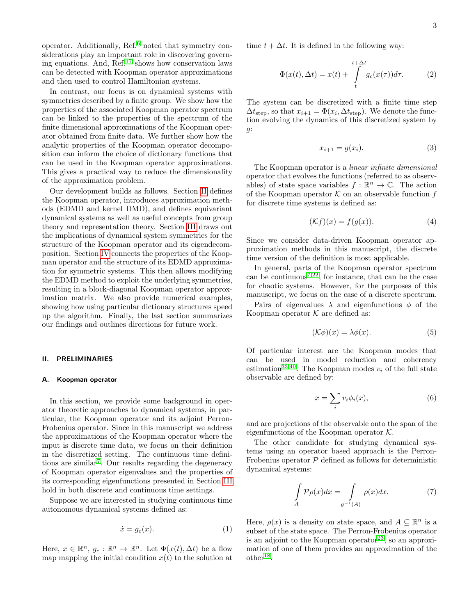operator. Additionally, Ref.[6](#page-14-12) noted that symmetry considerations play an important role in discovering governing equations. And, Ref.[17](#page-14-13) shows how conservation laws can be detected with Koopman operator approximations and then used to control Hamiltonian systems.

In contrast, our focus is on dynamical systems with symmetries described by a finite group. We show how the properties of the associated Koopman operator spectrum can be linked to the properties of the spectrum of the finite dimensional approximations of the Koopman operator obtained from finite data. We further show how the analytic properties of the Koopman operator decomposition can inform the choice of dictionary functions that can be used in the Koopman operator approximations. This gives a practical way to reduce the dimensionality of the approximation problem.

Our development builds as follows. Section [II](#page-2-0) defines the Koopman operator, introduces approximation methods (EDMD and kernel DMD), and defines equivariant dynamical systems as well as useful concepts from group theory and representation theory. Section [III](#page-5-0) draws out the implications of dynamical system symmetries for the structure of the Koopman operator and its eigendecomposition. Section [IV](#page-7-0) connects the properties of the Koopman operator and the structure of its EDMD approximation for symmetric systems. This then allows modifying the EDMD method to exploit the underlying symmetries, resulting in a block-diagonal Koopman operator approximation matrix. We also provide numerical examples, showing how using particular dictionary structures speed up the algorithm. Finally, the last section summarizes our findings and outlines directions for future work.

### <span id="page-2-0"></span>II. PRELIMINARIES

### A. Koopman operator

In this section, we provide some background in operator theoretic approaches to dynamical systems, in particular, the Koopman operator and its adjoint Perron-Frobenius operator. Since in this manuscript we address the approximations of the Koopman operator where the input is discrete time data, we focus on their definition in the discretized setting. The continuous time defini-tions are similar<sup>[7](#page-14-9)</sup>. Our results regarding the degeneracy of Koopman operator eigenvalues and the properties of its corresponding eigenfunctions presented in Section [III](#page-5-0) hold in both discrete and continuous time settings.

Suppose we are interested in studying continuous time autonomous dynamical systems defined as:

$$
\dot{x} = g_c(x). \tag{1}
$$

Here,  $x \in \mathbb{R}^n$ ,  $g_c : \mathbb{R}^n \to \mathbb{R}^n$ . Let  $\Phi(x(t), \Delta t)$  be a flow map mapping the initial condition  $x(t)$  to the solution at time  $t + \Delta t$ . It is defined in the following way:

$$
\Phi(x(t), \Delta t) = x(t) + \int_{t}^{t + \Delta t} g_c(x(\tau)) d\tau.
$$
 (2)

The system can be discretized with a finite time step  $\Delta t_{\text{step}}$ , so that  $x_{i+1} = \Phi(x_i, \Delta t_{\text{step}})$ . We denote the function evolving the dynamics of this discretized system by g:

<span id="page-2-2"></span>
$$
x_{i+1} = g(x_i). \tag{3}
$$

The Koopman operator is a linear infinite dimensional operator that evolves the functions (referred to as observables) of state space variables  $f : \mathbb{R}^n \to \mathbb{C}$ . The action of the Koopman operator  $K$  on an observable function f for discrete time systems is defined as:

$$
(\mathcal{K}f)(x) = f(g(x)).\tag{4}
$$

Since we consider data-driven Koopman operator approximation methods in this manuscript, the discrete time version of the definition is most applicable.

In general, parts of the Koopman operator spectrum can be continuous<sup>[7,](#page-14-9)[22](#page-15-19)</sup>, for instance, that can be the case for chaotic systems. However, for the purposes of this manuscript, we focus on the case of a discrete spectrum.

Pairs of eigenvalues  $\lambda$  and eigenfunctions  $\phi$  of the Koopman operator  $K$  are defined as:

$$
(\mathcal{K}\phi)(x) = \lambda \phi(x). \tag{5}
$$

Of particular interest are the Koopman modes that can be used in model reduction and coherency estimation<sup>[33](#page-15-20)[,40](#page-15-21)</sup>. The Koopman modes  $v_i$  of the full state observable are defined by:

$$
x = \sum_{i} v_i \phi_i(x), \tag{6}
$$

and are projections of the observable onto the span of the eigenfunctions of the Koopman operator  $K$ .

The other candidate for studying dynamical systems using an operator based approach is the Perron-Frobenius operator  $P$  defined as follows for deterministic dynamical systems:

$$
\int_{A} \mathcal{P}\rho(x)dx = \int_{g^{-1}(A)} \rho(x)dx.
$$
 (7)

<span id="page-2-1"></span>Here,  $\rho(x)$  is a density on state space, and  $A \subseteq \mathbb{R}^n$  is a subset of the state space. The Perron-Frobenius operator is an adjoint to the Koopman operator  $23$ , so an approximation of one of them provides an approximation of the  $other<sup>18</sup>$  $other<sup>18</sup>$  $other<sup>18</sup>$ .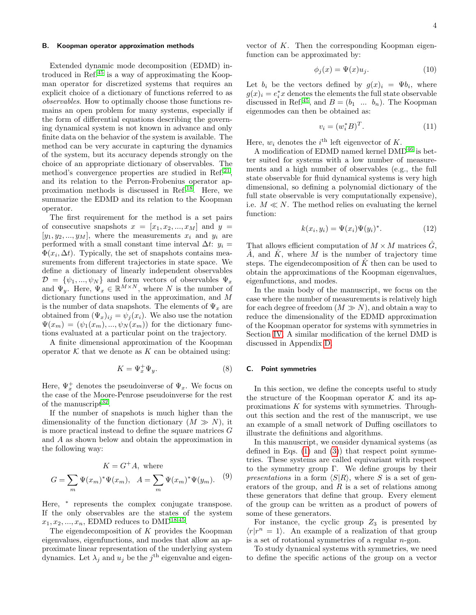### B. Koopman operator approximation methods

Extended dynamic mode decomposition (EDMD) introduced in Ref.[45](#page-15-14) is a way of approximating the Koopman operator for discretized systems that requires an explicit choice of a dictionary of functions referred to as observables. How to optimally choose those functions remains an open problem for many systems, especially if the form of differential equations describing the governing dynamical system is not known in advance and only finite data on the behavior of the system is available. The method can be very accurate in capturing the dynamics of the system, but its accuracy depends strongly on the choice of an appropriate dictionary of observables. The method's convergence properties are studied in Ref.<sup>[21](#page-15-22)</sup>, and its relation to the Perron-Frobenius operator approximation methods is discussed in Ref.[18](#page-14-7). Here, we summarize the EDMD and its relation to the Koopman operator.

The first requirement for the method is a set pairs of consecutive snapshots  $x = [x_1, x_2, ..., x_M]$  and  $y =$  $[y_1, y_2, ..., y_M]$ , where the measurements  $x_i$  and  $y_i$  are performed with a small constant time interval  $\Delta t$ :  $y_i =$  $\Phi(x_i, \Delta t)$ . Typically, the set of snapshots contains measurements from different trajectories in state space. We define a dictionary of linearly independent observables  $\mathcal{D} = \{\psi_1, ..., \psi_N\}$  and form vectors of observables  $\Psi_x$ and  $\Psi_y$ . Here,  $\Psi_x \in \mathbb{R}^{M \times N}$ , where N is the number of dictionary functions used in the approximation, and M is the number of data snapshots. The elements of  $\Psi_x$  are obtained from  $(\Psi_x)_{ij} = \psi_j(x_i)$ . We also use the notation  $\Psi(x_m) = (\psi_1(x_m), ..., \psi_N(x_m))$  for the dictionary functions evaluated at a particular point on the trajectory.

A finite dimensional approximation of the Koopman operator  $K$  that we denote as  $K$  can be obtained using:

$$
K = \Psi_x^+ \Psi_y. \tag{8}
$$

Here,  $\Psi_x^+$  denotes the pseudoinverse of  $\Psi_x$ . We focus on the case of the Moore-Penrose pseudoinverse for the rest of the manuscript<sup>[32](#page-15-23)</sup>.

If the number of snapshots is much higher than the dimensionality of the function dictionary  $(M \gg N)$ , it is more practical instead to define the square matrices G and A as shown below and obtain the approximation in the following way:

$$
K = G^+A, \text{ where}
$$

$$
G = \sum_{m} \Psi(x_m)^* \Psi(x_m), \quad A = \sum_{m} \Psi(x_m)^* \Psi(y_m). \tag{9}
$$

Here, \* represents the complex conjugate transpose. If the only observables are the states of the system  $x_1, x_2, ..., x_n$ , EDMD reduces to DMD<sup>[18,](#page-14-7)[45](#page-15-14)</sup>.

The eigendecomposition of  $K$  provides the Koopman eigenvalues, eigenfunctions, and modes that allow an approximate linear representation of the underlying system dynamics. Let  $\lambda_j$  and  $u_j$  be the  $j^{\text{th}}$  eigenvalue and eigenvector of K. Then the corresponding Koopman eigenfunction can be approximated by:

$$
\phi_j(x) = \Psi(x)u_j. \tag{10}
$$

Let  $b_i$  be the vectors defined by  $g(x)_i = \Psi b_i$ , where  $g(x)_i = e_i^* x$  denotes the elements the full state observable discussed in Ref.<sup>[45](#page-15-14)</sup>, and  $B = (b_1 \dots b_n)$ . The Koopman eigenmodes can then be obtained as:

$$
v_i = (w_i^* B)^T. \tag{11}
$$

Here,  $w_i$  denotes the  $i^{\text{th}}$  left eigenvector of K.

A modification of EDMD named kernel  $\rm DMD^{46}$  $\rm DMD^{46}$  $\rm DMD^{46}$  is better suited for systems with a low number of measurements and a high number of observables (e.g., the full state observable for fluid dynamical systems is very high dimensional, so defining a polynomial dictionary of the full state observable is very computationally expensive), i.e.  $M \ll N$ . The method relies on evaluating the kernel function:

$$
k(x_i, y_i) = \Psi(x_i)\Psi(y_i)^*.
$$
 (12)

That allows efficient computation of  $M \times M$  matrices  $\tilde{G}$ ,  $\hat{A}$ , and  $\hat{K}$ , where M is the number of trajectory time steps. The eigendecomposition of  $\hat{K}$  then can be used to obtain the approximations of the Koopman eigenvalues, eigenfunctions, and modes.

In the main body of the manuscript, we focus on the case where the number of measurements is relatively high for each degree of freedom  $(M \gg N)$ , and obtain a way to reduce the dimensionality of the EDMD approximation of the Koopman operator for systems with symmetries in Section [IV.](#page-7-0) A similar modification of the kernel DMD is discussed in Appendix [D.](#page-12-0)

### C. Point symmetries

In this section, we define the concepts useful to study the structure of the Koopman operator  $K$  and its approximations K for systems with symmetries. Throughout this section and the rest of the manuscript, we use an example of a small network of Duffing oscillators to illustrate the definitions and algorithms.

In this manuscript, we consider dynamical systems (as defined in Eqs.  $(1)$  and  $(3)$ ) that respect point symmetries. These systems are called equivariant with respect to the symmetry group  $\Gamma$ . We define groups by their presentations in a form  $\langle S|R\rangle$ , where S is a set of generators of the group, and  $R$  is a set of relations among these generators that define that group. Every element of the group can be written as a product of powers of some of these generators.

For instance, the cyclic group  $Z_3$  is presented by  $\langle r|r^n=1\rangle$ . An example of a realization of that group is a set of rotational symmetries of a regular n-gon.

To study dynamical systems with symmetries, we need to define the specific actions of the group on a vector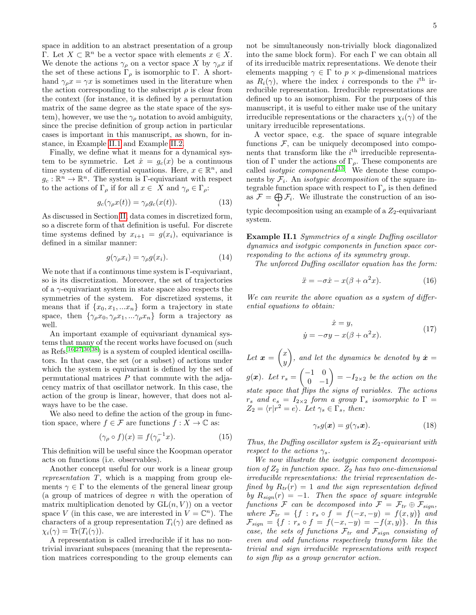space in addition to an abstract presentation of a group Γ. Let  $X \subset \mathbb{R}^n$  be a vector space with elements  $x \in X$ . We denote the actions  $\gamma_{\rho}$  on a vector space X by  $\gamma_{\rho}x$  if the set of these actions  $\Gamma_{\rho}$  is isomorphic to Γ. A shorthand  $\gamma_{\rho} x = \gamma x$  is sometimes used in the literature when the action corresponding to the subscript  $\rho$  is clear from the context (for instance, it is defined by a permutation matrix of the same degree as the state space of the system), however, we use the  $\gamma_{\rho}$  notation to avoid ambiguity, since the precise definition of group action in particular cases is important in this manuscript, as shown, for instance, in Example [II.1](#page-4-0) and Example [II.2.](#page-5-1)

Finally, we define what it means for a dynamical system to be symmetric. Let  $\dot{x} = g_c(x)$  be a continuous time system of differential equations. Here,  $x \in \mathbb{R}^n$ , and  $g_c: \mathbb{R}^n \to \mathbb{R}^n$ . The system is Γ-equivariant with respect to the actions of  $\Gamma_{\rho}$  if for all  $x \in X$  and  $\gamma_{\rho} \in \Gamma_{\rho}$ :

$$
g_c(\gamma_\rho x(t)) = \gamma_\rho g_c(x(t)).\tag{13}
$$

As discussed in Section [II,](#page-2-0) data comes in discretized form, so a discrete form of that definition is useful. For discrete time systems defined by  $x_{i+1} = g(x_i)$ , equivariance is defined in a similar manner:

$$
g(\gamma_{\rho}x_i) = \gamma_{\rho}g(x_i). \tag{14}
$$

We note that if a continuous time system is Γ-equivariant, so is its discretization. Moreover, the set of trajectories of a γ-equivariant system in state space also respects the symmetries of the system. For discretized systems, it means that if  $\{x_0, x_1, ... x_n\}$  form a trajectory in state space, then  $\{\gamma_\rho x_0, \gamma_\rho x_1, \ldots \gamma_\rho x_n\}$  form a trajectory as well.

An important example of equivariant dynamical systems that many of the recent works have focused on (such as Refs.<sup>[16](#page-14-4)[,27,](#page-15-3)[30,](#page-15-1)[38](#page-15-4)</sup>) is a system of coupled identical oscillators. In that case, the set (or a subset) of actions under which the system is equivariant is defined by the set of permutational matrices  $P$  that commute with the adjacency matrix of that oscillator network. In this case, the action of the group is linear, however, that does not always have to be the case.

We also need to define the action of the group in function space, where  $f \in \mathcal{F}$  are functions  $f : X \to \mathbb{C}$  as:

$$
(\gamma_{\rho} \circ f)(x) \equiv f(\gamma_{\rho}^{-1}x). \tag{15}
$$

This definition will be useful since the Koopman operator acts on functions (i.e. observables).

Another concept useful for our work is a linear group representation  $T$ , which is a mapping from group elements  $\gamma \in \Gamma$  to the elements of the general linear group (a group of matrices of degree n with the operation of matrix multiplication denoted by  $GL(n, V)$  on a vector space V (in this case, we are interested in  $V = \mathbb{C}^n$ ). The characters of a group representation  $T_i(\gamma)$  are defined as  $\chi_i(\gamma) = \text{Tr}(T_i(\gamma)).$ 

A representation is called irreducible if it has no nontrivial invariant subspaces (meaning that the representation matrices corresponding to the group elements can not be simultaneously non-trivially block diagonalized into the same block form). For each  $\Gamma$  we can obtain all of its irreducible matrix representations. We denote their elements mapping  $\gamma \in \Gamma$  to  $p \times p$ -dimensional matrices as  $R_i(\gamma)$ , where the index i corresponds to the i<sup>th</sup> irreducible representation. Irreducible representations are defined up to an isomorphism. For the purposes of this manuscript, it is useful to either make use of the unitary irreducible representations or the characters  $\chi_i(\gamma)$  of the unitary irreducible representations.

A vector space, e.g. the space of square integrable functions  $F$ , can be uniquely decomposed into components that transform like the  $i<sup>th</sup>$  irreducible representation of Γ under the actions of Γ<sub>ρ</sub>. These components are called *isotypic components*<sup>[13](#page-14-0)</sup>. We denote these components by  $\mathcal{F}_i$ . An *isotypic decomposition* of the square integrable function space with respect to  $\Gamma_{\rho}$  is then defined as  $\mathcal{F} = \bigoplus \mathcal{F}_i$ . We illustrate the construction of an iso-

typic decomposition using an example of a  $Z_2$ -equivariant system.

<span id="page-4-0"></span>Example II.1 Symmetries of a single Duffing oscillator dynamics and isotypic components in function space corresponding to the actions of its symmetry group.

The unforced Duffing oscillator equation has the form:

$$
\ddot{x} = -\sigma \dot{x} - x(\beta + \alpha^2 x). \tag{16}
$$

We can rewrite the above equation as a system of differential equations to obtain:

$$
\dot{x} = y,
$$
  
\n
$$
\dot{y} = -\sigma y - x(\beta + \alpha^2 x).
$$
\n(17)

Let  $\boldsymbol{x} = \begin{pmatrix} x \\ y \end{pmatrix}$  $\hat{y}$ ), and let the dynamics be denoted by  $\dot{x} =$  $g(x)$ . Let  $r_s = \begin{pmatrix} -1 & 0 \\ 0 & -1 \end{pmatrix}$  $0 -1$  $= -I_{2\times 2}$  be the action on the state space that flips the signs of variables. The actions  $r_s$  and  $e_s = I_{2\times 2}$  form a group  $\Gamma_s$  isomorphic to  $\Gamma =$  $Z_2 = \langle r|r^2 = e \rangle$ . Let  $\gamma_s \in \Gamma_s$ , then:

$$
\gamma_s g(\boldsymbol{x}) = g(\gamma_s \boldsymbol{x}). \tag{18}
$$

Thus, the Duffing oscillator system is  $Z_2$ -equivariant with respect to the actions  $\gamma_s$ .

We now illustrate the isotypic component decomposition of  $Z_2$  in function space.  $Z_2$  has two one-dimensional irreducible representations: the trivial representation defined by  $R_{tr}(r) = 1$  and the sign representation defined by  $R_{sign}(r) = -1$ . Then the space of square integrable functions F can be decomposed into  $\mathcal{F} = \mathcal{F}_{tr} \oplus \mathcal{F}_{sign}$ , where  $\mathcal{F}_{tr} = \{f : r_s \circ f = f(-x, -y) = f(x, y)\}\$ and  $\mathcal{F}_{sign} = \{f : r_s \circ f = f(-x, -y) = -f(x, y)\}.$  In this case, the sets of functions  $\mathcal{F}_{tr}$  and  $\mathcal{F}_{sign}$  consisting of even and odd functions respectively transform like the trivial and sign irreducible representations with respect to sign flip as a group generator action.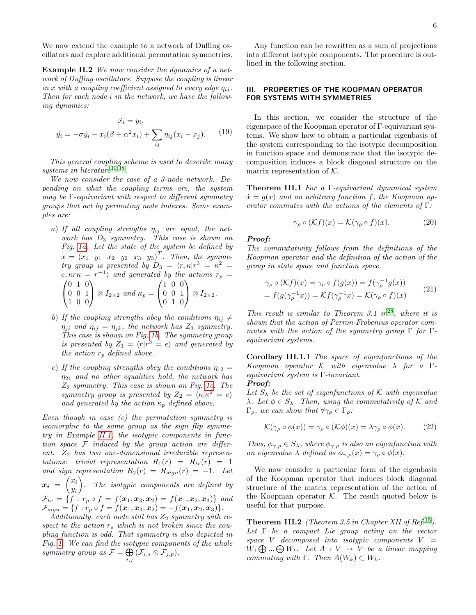We now extend the example to a network of Duffing oscillators and explore additional permutation symmetries.

<span id="page-5-1"></span>Example II.2 We now consider the dynamics of a network of Duffing oscillators. Suppose the coupling is linear in x with a coupling coefficient assigned to every edge  $\eta_{ij}$ . Then for each node i in the network, we have the following dynamics:

$$
\dot{x}_i = y_i, \n\dot{y}_i = -\sigma \dot{y}_i - x_i(\beta + \alpha^2 x_i) + \sum_{ij} \eta_{ij} (x_i - x_j).
$$
\n(19)

This general coupling scheme is used to describe many systems in literature<sup>[30](#page-15-1)[,38](#page-15-4)</sup>.

We now consider the case of a 3-node network. Depending on what the coupling terms are, the system may be  $\Gamma$ -equivariant with respect to different symmetry groups that act by permuting node indexes. Some examples are:

- a) If all coupling strengths  $\eta_{ij}$  are equal, the network has  $D_3$  symmetry. This case is shown on Fig. [1a.](#page-6-0) Let the state of the system be defined by  $x = (x_1 \ y_1 \ x_2 \ y_2 \ x_3 \ y_3)^T$ . Then, the symmetry group is presented by  $D_3 = \langle r, \kappa | r^3 = \kappa^2 =$  $e, \kappa r \kappa = r^{-1}$  and generated by the actions  $r_p =$  $\sqrt{ }$  $\mathcal{L}$ 0 1 0 0 0 1 1 0 0  $\setminus$  $\Big\} \otimes I_{2\times 2}$  and  $\kappa_p =$  $\sqrt{ }$  $\mathcal{L}$ 1 0 0 0 0 1 0 1 0  $\setminus$  $\Big\} \otimes I_{2\times 2}.$
- b) If the coupling strengths obey the conditions  $\eta_{ij} \neq$  $\eta_{ji}$  and  $\eta_{ij} = \eta_{jk}$ , the network has  $Z_3$  symmetry. This case is shown on Fig. [1b.](#page-6-0) The symmetry group is presented by  $Z_3 = \langle r|r^3 = e \rangle$  and generated by the action  $r_p$  defined above.
- c) If the coupling strengths obey the conditions  $\eta_{12} =$  $\eta_{21}$  and no other equalities hold, the network has  $Z_2$  symmetry. This case is shown on Fig. [1c.](#page-6-0) The symmetry group is presented by  $Z_2 = \langle \kappa | \kappa^2 = e \rangle$ and generated by the action  $\kappa_p$  defined above.

Even though in case  $(c)$  the permutation symmetry is isomorphic to the same group as the sign flip symmetry in Example [II.1,](#page-4-0) the isotypic components in function space  $F$  induced by the group action are different.  $Z_2$  has two one-dimensional irreducible representations: trivial representation  $R_1(r) = R_{tr}(r) = 1$ and sign representation  $R_2(r) = R_{sign}(r) = -1$ . Let  $x_i = \begin{pmatrix} x_i \\ y_i \end{pmatrix}$  $y_i$  . The isotypic components are defined by  $\mathcal{F}_{tr} = \{f : r_p \circ f = f(\bm{x}_1, \bm{x}_3, \bm{x}_2) = f(\bm{x}_1, \bm{x}_2, \bm{x}_3)\}\$ and  $\mathcal{F}_{sign} = \{f: r_p \circ f = f(\boldsymbol{x}_1,\boldsymbol{x}_3,\boldsymbol{x}_2) = -f(\boldsymbol{x}_1,\boldsymbol{x}_2,\boldsymbol{x}_3)\}.$ 

Additionally, each node still has  $Z_2$  symmetry with respect to the action  $r_s$  which is not broken since the coupling function is odd. That symmetry is also depicted in Fig. [1.](#page-6-0) We can find the isotypic components of the whole symmetry group as  $\mathcal{F} = \bigoplus$  $\bigoplus_{i,j} \left( \mathcal{F}_{i,s} \otimes \mathcal{F}_{j,p} \right)$  .

Any function can be rewritten as a sum of projections into different isotypic components. The procedure is outlined in the following section.

# <span id="page-5-0"></span>III. PROPERTIES OF THE KOOPMAN OPERATOR FOR SYSTEMS WITH SYMMETRIES

In this section, we consider the structure of the eigenspace of the Koopman operator of Γ-equivariant systems. We show how to obtain a particular eigenbasis of the system corresponding to the isotypic decomposition in function space and demonstrate that the isotypic decomposition induces a block diagonal structure on the matrix representation of  $K$ .

Theorem III.1 For a Γ-equivariant dynamical system  $\dot{x} = g(x)$  and an arbitrary function f, the Koopman operator commutes with the actions of the elements of  $\Gamma$ :

$$
\gamma_{\rho} \circ (\mathcal{K}f)(x) = \mathcal{K}(\gamma_{\rho} \circ f)(x). \tag{20}
$$

### Proof:

The commutativity follows from the definitions of the Koopman operator and the definition of the action of the group in state space and function space.

$$
\gamma_{\rho} \circ (\mathcal{K}f)(x) = \gamma_{\rho} \circ f(g(x)) = f(\gamma_{\rho}^{-1}g(x))
$$
  
=  $f(g(\gamma_{\rho}^{-1}x)) = \mathcal{K}f(\gamma_{\rho}^{-1}x) = \mathcal{K}(\gamma_{\rho} \circ f)(x)$  (21)

This result is similar to Theorem 3.1 in  $2^8$ , where it is shown that the action of Perron-Frobenius operator commutes with the action of the symmetry group  $\Gamma$  for  $\Gamma$ equivariant systems.

Corollary III.1.1 The space of eigenfunctions of the Koopman operator  $\mathcal K$  with eigenvalue  $\lambda$  for a  $\Gamma$ equivariant system is Γ-invariant. Proof:

Let  $S_{\lambda}$  be the set of eigenfunctions of K with eigenvalue λ. Let  $\phi \in S_\lambda$ . Then, using the commutativity of K and  $\Gamma_{\rho}$ , we can show that  $\forall \gamma_{\rho} \in \Gamma_{\rho}$ :

$$
\mathcal{K}(\gamma_{\rho} \circ \phi(x)) = \gamma_{\rho} \circ (\mathcal{K}\phi)(x) = \lambda \gamma_{\rho} \circ \phi(x). \tag{22}
$$

Thus,  $\phi_{\gamma,\rho} \in S_{\lambda}$ , where  $\phi_{\gamma,\rho}$  is also an eigenfunction with an eigenvalue  $\lambda$  defined as  $\phi_{\gamma,\rho}(x) = \gamma_\rho \circ \phi(x)$ .

We now consider a particular form of the eigenbasis of the Koopman operator that induces block diagonal structure of the matrix representation of the action of the Koopman operator  $K$ . The result quoted below is useful for that purpose.

**Theorem III.2** (Theorem 3.5 in Chapter XII of Ref.<sup>[15](#page-14-1)</sup>). Let  $\Gamma$  be a compact Lie group acting on the vector space V decomposed into isotypic components  $V =$  $W_1 \bigoplus ... \bigoplus W_t$ . Let  $A: V \to V$  be a linear mapping commuting with  $\Gamma$ . Then  $A(W_k) \subset W_k$ .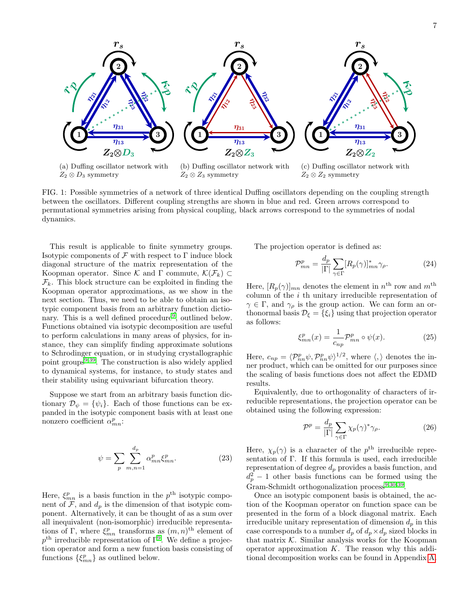<span id="page-6-0"></span>

(a) Duffing oscillator network with  $Z_2 \otimes D_3$  symmetry

(b) Duffing oscillator network with  $Z_2 \otimes Z_3$  symmetry

(c) Duffing oscillator network with  $Z_2 \otimes Z_2$  symmetry

FIG. 1: Possible symmetries of a network of three identical Duffing oscillators depending on the coupling strength between the oscillators. Different coupling strengths are shown in blue and red. Green arrows correspond to permutational symmetries arising from physical coupling, black arrows correspond to the symmetries of nodal dynamics.

This result is applicable to finite symmetry groups. Isotypic components of  $\mathcal F$  with respect to  $\Gamma$  induce block diagonal structure of the matrix representation of the Koopman operator. Since K and  $\Gamma$  commute,  $\mathcal{K}(\mathcal{F}_k) \subset$  $\mathcal{F}_k$ . This block structure can be exploited in finding the Koopman operator approximations, as we show in the next section. Thus, we need to be able to obtain an isotypic component basis from an arbitrary function dictio-nary. This is a well defined procedure<sup>[9](#page-14-14)</sup>, outlined below. Functions obtained via isotypic decomposition are useful to perform calculations in many areas of physics, for instance, they can simplify finding approximate solutions to Schrodinger equation, or in studying crystallographic point groups $9,39$  $9,39$ . The construction is also widely applied to dynamical systems, for instance, to study states and their stability using equivariant bifurcation theory.

Suppose we start from an arbitrary basis function dictionary  $\mathcal{D}_{\psi} = {\psi_i}$ . Each of those functions can be expanded in the isotypic component basis with at least one nonzero coefficient  $\alpha_{mn}^p$ :

$$
\psi = \sum_{p} \sum_{m,n=1}^{d_p} \alpha_{mn}^p \xi_{mn}^p. \tag{23}
$$

Here,  $\xi_{mn}^p$  is a basis function in the  $p^{\text{th}}$  isotypic component of  $\mathcal{F}$ , and  $d_p$  is the dimension of that isotypic component. Alternatively, it can be thought of as a sum over all inequivalent (non-isomorphic) irreducible representations of Γ, where  $\xi_{mn}^p$  transforms as  $(m, n)$ <sup>th</sup> element of  $p<sup>th</sup>$  irreducible representation of  $\Gamma^9$  $\Gamma^9$ . We define a projection operator and form a new function basis consisting of functions  $\{\xi_{mn}^p\}$  as outlined below.

The projection operator is defined as:

<span id="page-6-3"></span>
$$
\mathcal{P}_{mn}^p = \frac{d_p}{|\Gamma|} \sum_{\gamma \in \Gamma} [R_p(\gamma)]_{mn}^* \gamma_\rho.
$$
 (24)

Here,  $[R_p(\gamma)]_{mn}$  denotes the element in  $n^{\text{th}}$  row and  $m^{\text{th}}$ column of the  $i$  th unitary irreducible representation of  $\gamma \in \Gamma$ , and  $\gamma_{\rho}$  is the group action. We can form an orthonormal basis  $\mathcal{D}_{\xi} = {\xi_i}$  using that projection operator as follows:

<span id="page-6-2"></span>
$$
\xi_{mn}^p(x) = \frac{1}{c_{np}} \mathcal{P}_{mn}^p \circ \psi(x). \tag{25}
$$

Here,  $c_{np} = \langle \mathcal{P}_{nn}^p \psi, \mathcal{P}_{nn}^p \psi \rangle^{1/2}$ , where  $\langle, \rangle$  denotes the inner product, which can be omitted for our purposes since the scaling of basis functions does not affect the EDMD results.

Equivalently, due to orthogonality of characters of irreducible representations, the projection operator can be obtained using the following expression:

<span id="page-6-1"></span>
$$
\mathcal{P}^p = \frac{d_p}{|\Gamma|} \sum_{\gamma \in \Gamma} \chi_p(\gamma)^* \gamma_\rho.
$$
 (26)

Here,  $\chi_p(\gamma)$  is a character of the  $p^{\text{th}}$  irreducible representation of Γ. If this formula is used, each irreducible representation of degree  $d_p$  provides a basis function, and  $d_p^2 - 1$  other basis functions can be formed using the Gram-Schmidt orthogonalization process<sup>[9](#page-14-14)[,30](#page-15-1)[,39](#page-15-24)</sup>.

Once an isotypic component basis is obtained, the action of the Koopman operator on function space can be presented in the form of a block diagonal matrix. Each irreducible unitary representation of dimension  $d_p$  in this case corresponds to a number  $d_p$  of  $d_p \times d_p$  sized blocks in that matrix  $K$ . Similar analysis works for the Koopman operator approximation  $K$ . The reason why this additional decomposition works can be found in Appendix [A.](#page-11-0)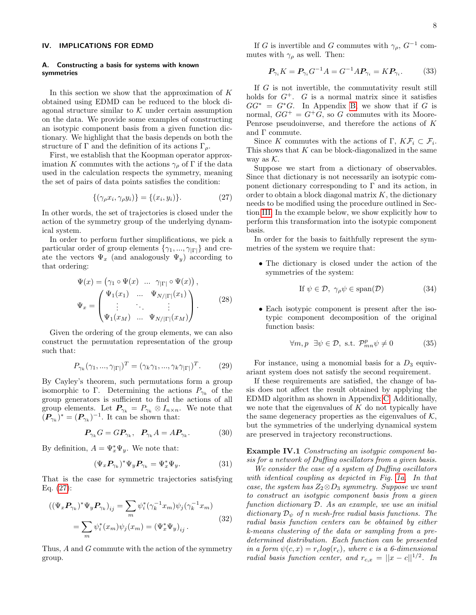### <span id="page-7-0"></span>IV. IMPLICATIONS FOR EDMD

# A. Constructing a basis for systems with known symmetries

In this section we show that the approximation of  $K$ obtained using EDMD can be reduced to the block diagonal structure similar to  $K$  under certain assumption on the data. We provide some examples of constructing an isotypic component basis from a given function dictionary. We highlight that the basis depends on both the structure of Γ and the definition of its actions  $\Gamma_{\rho}$ .

First, we establish that the Koopman operator approximation K commutes with the actions  $\gamma_{\rho}$  of  $\Gamma$  if the data used in the calculation respects the symmetry, meaning the set of pairs of data points satisfies the condition:

$$
\{(\gamma_{\rho}x_i, \gamma_{\rho}y_i)\} = \{(x_i, y_i)\}.
$$
\n
$$
(27)
$$

In other words, the set of trajectories is closed under the action of the symmetry group of the underlying dynamical system.

In order to perform further simplifications, we pick a particular order of group elements  $\{\gamma_1, ..., \gamma_{|\Gamma|}\}\$ and create the vectors  $\Psi_x$  (and analogously  $\Psi_y$ ) according to that ordering:

$$
\Psi(x) = (\gamma_1 \circ \Psi(x) \cdots \gamma_{|\Gamma|} \circ \Psi(x)),
$$
\n
$$
\Psi_x = \begin{pmatrix}\n\Psi_1(x_1) & \cdots & \Psi_{N/|\Gamma|}(x_1) \\
\vdots & \ddots & \vdots \\
\Psi_1(x_M) & \cdots & \Psi_{N/|\Gamma|}(x_M)\n\end{pmatrix}.
$$
\n(28)

Given the ordering of the group elements, we can also construct the permutation representation of the group such that:

$$
P_{\gamma_k}(\gamma_1, \ldots, \gamma_{|\Gamma|})^T = (\gamma_k \gamma_1, \ldots, \gamma_k \gamma_{|\Gamma|})^T.
$$
 (29)

By Cayley's theorem, such permutations form a group isomorphic to Γ. Determining the actions  $P_{\gamma_k}$  of the group generators is sufficient to find the actions of all group elements. Let  $P_{\gamma_k} = P_{\gamma_k} \otimes I_{n \times n}$ . We note that  $(P_{\gamma_k})^* = (P_{\gamma_k})^{-1}$ . It can be shown that:

$$
\boldsymbol{P}_{\gamma_k} G = G \boldsymbol{P}_{\gamma_k}, \quad \boldsymbol{P}_{\gamma_k} A = A \boldsymbol{P}_{\gamma_k}.
$$
 (30)

By definition,  $A = \Psi_x^* \Psi_y$ . We note that:

$$
(\Psi_x \mathbf{P}_{\gamma_k})^* \Psi_y \mathbf{P}_{\gamma_k} = \Psi_x^* \Psi_y. \tag{31}
$$

That is the case for symmetric trajectories satisfying Eq. [\(27\)](#page-7-1):

$$
((\Psi_x \mathbf{P}_{\gamma_k})^* \Psi_y \mathbf{P}_{\gamma_k})_{ij} = \sum_m \psi_i^* (\gamma_k^{-1} x_m) \psi_j (\gamma_k^{-1} x_m)
$$
  

$$
= \sum_m \psi_i^* (x_m) \psi_j (x_m) = (\Psi_x^* \Psi_y)_{ij}.
$$
 (32)

Thus, A and G commute with the action of the symmetry group.

If G is invertible and G commutes with  $\gamma_{\rho}$ ,  $G^{-1}$  commutes with  $\gamma_{\rho}$  as well. Then:

$$
P_{\gamma_i} K = P_{\gamma_i} G^{-1} A = G^{-1} A P_{\gamma_i} = K P_{\gamma_i}.
$$
 (33)

If G is not invertible, the commutativity result still holds for  $G^+$ . G is a normal matrix since it satisfies  $GG^* = G^*G$ . In Appendix [B,](#page-12-1) we show that if G is normal,  $GG^+ = G^+G$ , so G commutes with its Moore-Penrose pseudoinverse, and therefore the actions of K and Γ commute.

Since K commutes with the actions of  $\Gamma$ ,  $K\mathcal{F}_i \subset \mathcal{F}_i$ . This shows that  $K$  can be block-diagonalized in the same way as  $K$ .

<span id="page-7-1"></span>Suppose we start from a dictionary of observables. Since that dictionary is not necessarily an isotypic component dictionary corresponding to  $\Gamma$  and its action, in order to obtain a block diagonal matrix  $K$ , the dictionary needs to be modified using the procedure outlined in Section [III.](#page-5-0) In the example below, we show explicitly how to perform this transformation into the isotypic component basis.

In order for the basis to faithfully represent the symmetries of the system we require that:

• The dictionary is closed under the action of the symmetries of the system:

$$
\text{If } \psi \in \mathcal{D}, \ \gamma_{\rho}\psi \in \text{span}(\mathcal{D}) \tag{34}
$$

<span id="page-7-3"></span>• Each isotypic component is present after the isotypic component decomposition of the original function basis:

$$
\forall m, p \ \exists \psi \in \mathcal{D}, \text{ s.t. } \mathcal{P}_{mn}^p \psi \neq 0 \tag{35}
$$

<span id="page-7-4"></span>For instance, using a monomial basis for a  $D_3$  equivariant system does not satisfy the second requirement.

If these requirements are satisfied, the change of basis does not affect the result obtained by applying the EDMD algorithm as shown in Appendix [C.](#page-12-2) Additionally, we note that the eigenvalues of  $K$  do not typically have the same degeneracy properties as the eigenvalues of  $K$ , but the symmetries of the underlying dynamical system are preserved in trajectory reconstructions.

<span id="page-7-2"></span>Example IV.1 Constructing an isotypic component basis for a network of Duffing oscillators from a given basis.

We consider the case of a system of Duffing oscillators with identical coupling as depicted in Fig. [1a.](#page-6-0) In that case, the system has  $Z_2 \otimes D_3$  symmetry. Suppose we want to construct an isotypic component basis from a given function dictionary  $D$ . As an example, we use an initial dictionary  $\mathcal{D}_{\psi}$  of n mesh-free radial basis functions. The radial basis function centers can be obtained by either k-means clustering of the data or sampling from a predetermined distribution. Each function can be presented in a form  $\psi(c, x) = r_c \log(r_c)$ , where c is a 6-dimensional radial basis function center, and  $r_{c,x} = ||x - c||^{1/2}$ . In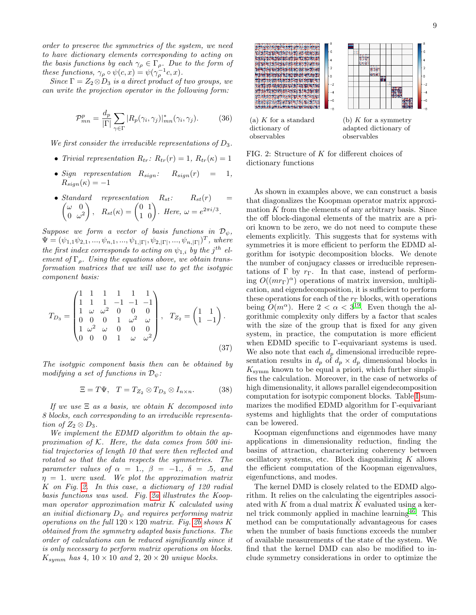order to preserve the symmetries of the system, we need to have dictionary elements corresponding to acting on the basis functions by each  $\gamma_{\rho} \in \Gamma_{\rho}$ . Due to the form of these functions,  $\gamma_{\rho} \circ \psi(c, x) = \psi(\gamma_{\rho}^{-1}c, x)$ .

Since  $\Gamma = Z_2 \otimes D_3$  is a direct product of two groups, we can write the projection operator in the following form:

$$
\mathcal{P}_{mn}^p = \frac{d_p}{|\Gamma|} \sum_{\gamma \in \Gamma} |R_p(\gamma_i, \gamma_j)|_{mn}^* (\gamma_i, \gamma_j). \tag{36}
$$

We first consider the irreducible representations of  $D_3$ .

- Trivial representation  $R_{tr}: R_{tr}(r) = 1, R_{tr}(\kappa) = 1$
- Sign representation  $R_{sign}: R_{sign}(r) = 1$ ,  $R_{sign}(\kappa) = -1$
- Standard representation  $R_{st}$ :  $R_{st}(r)$  =  $\int \omega \ 0$  $0 \omega^2$  $\bigg), R_{st}(\kappa) = \begin{pmatrix} 0 & 1 \\ 1 & 0 \end{pmatrix}.$  Here,  $\omega = e^{2\pi i/3}.$

Suppose we form a vector of basis functions in  $\mathcal{D}_{\psi}$ ,  $\Psi = (\psi_{1,1}\psi_{2,1},...,\psi_{n,1},...,\psi_{1,|\Gamma|},\psi_{2,|\Gamma|},...,\psi_{n,|\Gamma|})^T$ , where the first index corresponds to acting on  $\psi_{1,i}$  by the j<sup>th</sup> element of  $\Gamma_{\rho}$ . Using the equations above, we obtain transformation matrices that we will use to get the isotypic component basis:

$$
T_{D_3} = \begin{pmatrix} 1 & 1 & 1 & 1 & 1 & 1 \\ 1 & 1 & 1 & -1 & -1 & -1 \\ 1 & \omega & \omega^2 & 0 & 0 & 0 \\ 0 & 0 & 0 & 1 & \omega^2 & \omega \\ 1 & \omega^2 & \omega & 0 & 0 & 0 \\ 0 & 0 & 0 & 1 & \omega & \omega^2 \end{pmatrix}, \quad T_{Z_2} = \begin{pmatrix} 1 & 1 \\ 1 & -1 \end{pmatrix}.
$$
\n
$$
(37)
$$

The isotypic component basis then can be obtained by modifying a set of functions in  $\mathcal{D}_{\psi}$ :

$$
\Xi = T\Psi, \quad T = T_{Z_2} \otimes T_{D_3} \otimes I_{n \times n}.
$$
 (38)

If we use  $\Xi$  as a basis, we obtain K decomposed into 8 blocks, each corresponding to an irreducible representation of  $Z_2 \otimes D_3$ .

We implement the EDMD algorithm to obtain the approximation of  $K$ . Here, the data comes from 500 initial trajectories of length 10 that were then reflected and rotated so that the data respects the symmetries. The parameter values of  $\alpha = 1, \beta = -1, \delta = .5, \text{ and}$  $\eta = 1$ . were used. We plot the approximation matrix K on Fig. [2.](#page-8-0) In this case, a dictionary of 120 radial basis functions was used. Fig. [2a](#page-8-0) illustrates the Koopman operator approximation matrix K calculated using an initial dictionary  $D_{\psi}$  and requires performing matrix operations on the full  $120 \times 120$  matrix. Fig. [2b](#page-8-0) shows K obtained from the symmetry adapted basis functions. The order of calculations can be reduced significantly since it is only necessary to perform matrix operations on blocks.  $K_{symm}$  has 4,  $10 \times 10$  and 2,  $20 \times 20$  unique blocks.

<span id="page-8-0"></span>

FIG. 2: Structure of K for different choices of dictionary functions

As shown in examples above, we can construct a basis that diagonalizes the Koopman operator matrix approximation  $K$  from the elements of any arbitrary basis. Since the off block-diagonal elements of the matrix are a priori known to be zero, we do not need to compute these elements explicitly. This suggests that for systems with symmetries it is more efficient to perform the EDMD algorithm for isotypic decomposition blocks. We denote the number of conjugacy classes or irreducible representations of Γ by  $r_{\Gamma}$ . In that case, instead of performing  $O((mr_{\Gamma})^{\alpha})$  operations of matrix inversion, multiplication, and eigendecomposition, it is sufficient to perform these operations for each of the  $r_{\Gamma}$  blocks, with operations being  $O(m^{\alpha})$ . Here  $2 < \alpha < 3^{19}$  $2 < \alpha < 3^{19}$  $2 < \alpha < 3^{19}$ . Even though the algorithmic complexity only differs by a factor that scales with the size of the group that is fixed for any given system, in practice, the computation is more efficient when EDMD specific to Γ-equivariant systems is used. We also note that each  $d_p$  dimensional irreducible representation results in  $d_p$  of  $d_p \times d_p$  dimensional blocks in  $K_{\rm{symm}}$  known to be equal a priori, which further simplifies the calculation. Moreover, in the case of networks of high dimensionality, it allows parallel eigendecomposition computation for isotypic component blocks. Table [I](#page-9-0) summarizes the modified EDMD algorithm for Γ-equivariant systems and highlights that the order of computations can be lowered.

Koopman eigenfunctions and eigenmodes have many applications in dimensionality reduction, finding the basins of attraction, characterizing coherency between oscillatory systems, etc. Block diagonalizing  $K$  allows the efficient computation of the Koopman eigenvalues, eigenfunctions, and modes.

The kernel DMD is closely related to the EDMD algorithm. It relies on the calculating the eigentriples associated with K from a dual matrix  $\hat{K}$  evaluated using a ker-nel trick commonly applied in machine learning<sup>[46](#page-15-15)</sup>. This method can be computationally advantageous for cases when the number of basis functions exceeds the number of available measurements of the state of the system. We find that the kernel DMD can also be modified to include symmetry considerations in order to optimize the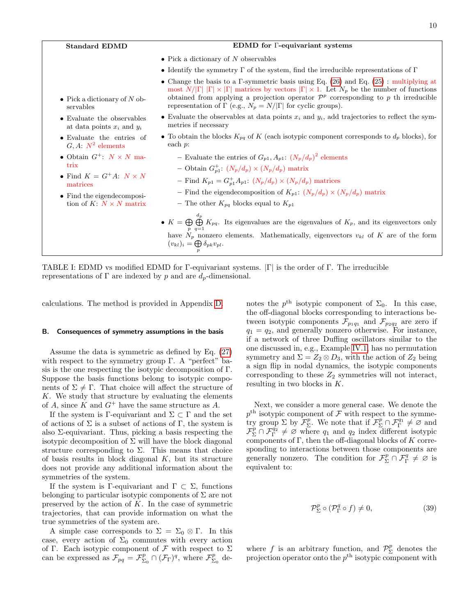<span id="page-9-0"></span>

| <b>Standard EDMD</b>                                                 | <b>EDMD</b> for Γ-equivariant systems                                                                                                                                                                                                                                                                                                                                                            |
|----------------------------------------------------------------------|--------------------------------------------------------------------------------------------------------------------------------------------------------------------------------------------------------------------------------------------------------------------------------------------------------------------------------------------------------------------------------------------------|
|                                                                      | • Pick a dictionary of N observables                                                                                                                                                                                                                                                                                                                                                             |
|                                                                      | • Identify the symmetry $\Gamma$ of the system, find the irreducible representations of $\Gamma$                                                                                                                                                                                                                                                                                                 |
| • Pick a dictionary of N ob-<br>servables                            | • Change the basis to a $\Gamma$ -symmetric basis using Eq. (26) and Eq. (25): multiplying at<br>most $N/ \Gamma   X  \ge  \Gamma $ matrices by vectors $ \Gamma  \times 1$ . Let $N_p$ be the number of functions<br>obtained from applying a projection operator $\mathcal{P}^p$ corresponding to p th irreducible<br>representation of $\Gamma$ (e.g., $N_p = N/ \Gamma $ for cyclic groups). |
| • Evaluate the observables<br>at data points $x_i$ and $y_i$         | • Evaluate the observables at data points $x_i$ and $y_i$ , add trajectories to reflect the sym-<br>metries if necessary                                                                                                                                                                                                                                                                         |
| • Evaluate the entries of<br>$G, A: N^2$ elements                    | • To obtain the blocks $K_{pq}$ of K (each isotypic component corresponds to $d_p$ blocks), for<br>each $p$ :                                                                                                                                                                                                                                                                                    |
| • Obtain $G^+$ : $N \times N$ ma-<br>trix                            | - Evaluate the entries of $G_{p1}, A_{p1}: (N_p/d_p)^2$ elements<br>- Obtain $G_{p1}^{\dagger}$ : $(N_p/d_p) \times (N_p/d_p)$ matrix                                                                                                                                                                                                                                                            |
| • Find $K = G^+A$ : $N \times N$<br>matrices                         | - Find $K_{p1} = G_{p1}^+ A_{p1}$ : $(N_p/d_p) \times (N_p/d_p)$ matrices                                                                                                                                                                                                                                                                                                                        |
| $\bullet$ Find the eigendecomposi-<br>tion of K: $N \times N$ matrix | - Find the eigendecomposition of $K_{p1}: (N_p/d_p) \times (N_p/d_p)$ matrix<br>- The other $K_{pq}$ blocks equal to $K_{p1}$                                                                                                                                                                                                                                                                    |
|                                                                      | • $K = \bigoplus_{n=1}^{d_p} K_{pq}$ . Its eigenvalues are the eigenvalues of $K_p$ , and its eigenvectors only<br>have $N_p$ nonzero elements. Mathematically, eigenvectors $v_{kl}$ of K are of the form<br>$(v_{kl})_i = \bigoplus \delta_{pk} v_{pl}.$                                                                                                                                       |

TABLE I: EDMD vs modified EDMD for Γ-equivariant systems. |Γ| is the order of Γ. The irreducible representations of  $\Gamma$  are indexed by p and are  $d_p$ -dimensional.

calculations. The method is provided in Appendix [D.](#page-12-0)

# B. Consequences of symmetry assumptions in the basis

Assume the data is symmetric as defined by Eq. [\(27\)](#page-7-1) with respect to the symmetry group  $\Gamma$ . A "perfect" basis is the one respecting the isotypic decomposition of Γ. Suppose the basis functions belong to isotypic components of  $\Sigma \neq \Gamma$ . That choice will affect the structure of  $K$ . We study that structure by evaluating the elements of A, since K and  $G^+$  have the same structure as A.

If the system is Γ-equivariant and  $\Sigma \subset \Gamma$  and the set of actions of  $\Sigma$  is a subset of actions of  $\Gamma$ , the system is also  $\Sigma$ -equivariant. Thus, picking a basis respecting the isotypic decomposition of  $\Sigma$  will have the block diagonal structure corresponding to  $\Sigma$ . This means that choice of basis results in block diagonal  $K$ , but its structure does not provide any additional information about the symmetries of the system.

If the system is Γ-equivariant and  $\Gamma \subset \Sigma$ , functions belonging to particular isotypic components of  $\Sigma$  are not preserved by the action of  $K$ . In the case of symmetric trajectories, that can provide information on what the true symmetries of the system are.

A simple case corresponds to  $\Sigma = \Sigma_0 \otimes \Gamma$ . In this case, every action of  $\Sigma_0$  commutes with every action of Γ. Each isotypic component of  $\mathcal F$  with respect to  $\Sigma$ can be expressed as  $\mathcal{F}_{pq} = \mathcal{F}_{\Sigma_0}^p \cap (\mathcal{F}_{\Gamma})^q$ , where  $\mathcal{F}_{\Sigma_0}^p$  de-

notes the  $p^{\text{th}}$  isotypic component of  $\Sigma_0$ . In this case, the off-diagonal blocks corresponding to interactions between isotypic components  $\mathcal{F}_{p_1q_1}$  and  $\mathcal{F}_{p_2q_2}$  are zero if  $q_1 = q_2$ , and generally nonzero otherwise. For instance, if a network of three Duffing oscillators similar to the one discussed in, e.g., Example [IV.1,](#page-7-2) has no permutation symmetry and  $\Sigma = Z_2 \otimes D_3$ , with the action of  $Z_2$  being a sign flip in nodal dynamics, the isotypic components corresponding to these  $Z_2$  symmetries will not interact, resulting in two blocks in K.

Next, we consider a more general case. We denote the  $p<sup>th</sup>$  isotypic component of  $\mathcal F$  with respect to the symmetry group  $\Sigma$  by  $\mathcal{F}_{\Sigma}^p$ . We note that if  $\mathcal{F}_{\Sigma}^p \cap \mathcal{F}_{\Gamma}^{q_1} \neq \emptyset$  and  $\mathcal{F}_{\Sigma}^{p} \cap \mathcal{F}_{\Gamma}^{q_2} \neq \emptyset$  where  $q_1$  and  $q_2$  index different isotypic components of  $\Gamma$ , then the off-diagonal blocks of K corresponding to interactions between those components are generally nonzero. The condition for  $\mathcal{F}_{\Sigma}^p \cap \mathcal{F}_{\Gamma}^q \neq \emptyset$  is equivalent to:

<span id="page-9-1"></span>
$$
\mathcal{P}^p_{\Sigma} \circ (\mathcal{P}^q_{\Gamma} \circ f) \neq 0, \tag{39}
$$

where f is an arbitrary function, and  $\mathcal{P}_{\Sigma}^{p}$  denotes the projection operator onto the  $p^{\text{th}}$  isotypic component with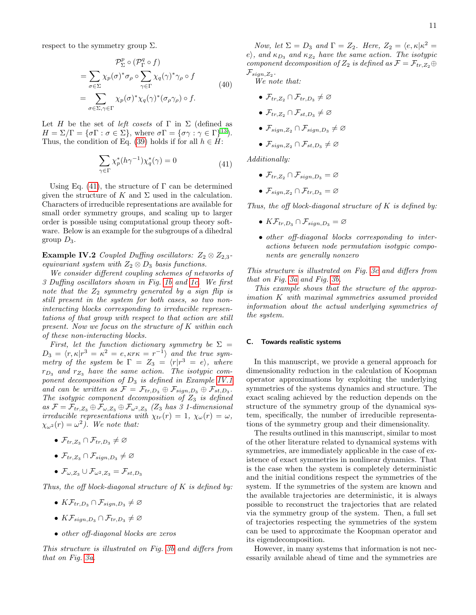respect to the symmetry group  $\Sigma$ .

$$
\mathcal{P}_{\Sigma}^{p} \circ (\mathcal{P}_{\Gamma}^{q} \circ f)
$$
\n
$$
= \sum_{\sigma \in \Sigma} \chi_{p}(\sigma)^{*} \sigma_{\rho} \circ \sum_{\gamma \in \Gamma} \chi_{q}(\gamma)^{*} \gamma_{\rho} \circ f
$$
\n
$$
= \sum_{\sigma \in \Sigma, \gamma \in \Gamma} \chi_{p}(\sigma)^{*} \chi_{q}(\gamma)^{*} (\sigma_{\rho} \gamma_{\rho}) \circ f.
$$
\n(40)

Let H be the set of *left cosets* of  $\Gamma$  in  $\Sigma$  (defined as  $H = \Sigma/\Gamma = {\sigma\Gamma : \sigma \in \Sigma}, \text{ where } \sigma\Gamma = {\sigma\gamma : \gamma \in \Gamma}^{13}.$  $H = \Sigma/\Gamma = {\sigma\Gamma : \sigma \in \Sigma}, \text{ where } \sigma\Gamma = {\sigma\gamma : \gamma \in \Gamma}^{13}.$  $H = \Sigma/\Gamma = {\sigma\Gamma : \sigma \in \Sigma}, \text{ where } \sigma\Gamma = {\sigma\gamma : \gamma \in \Gamma}^{13}.$ Thus, the condition of Eq. [\(39\)](#page-9-1) holds if for all  $h \in H$ :

$$
\sum_{\gamma \in \Gamma} \chi_p^*(h\gamma^{-1}) \chi_q^*(\gamma) = 0 \tag{41}
$$

Using Eq. [\(41\)](#page-10-0), the structure of  $\Gamma$  can be determined given the structure of K and  $\Sigma$  used in the calculation. Characters of irreducible representations are available for small order symmetry groups, and scaling up to larger order is possible using computational group theory software. Below is an example for the subgroups of a dihedral group  $D_3$ .

Example IV.2 Coupled Duffing oscillators:  $Z_2 \otimes Z_{2,3}$ equivariant system with  $Z_2 \otimes D_3$  basis functions.

We consider different coupling schemes of networks of 3 Duffing oscillators shown in Fig. [1b](#page-6-0) and [1c.](#page-6-0) We first note that the  $Z_2$  symmetry generated by a sign flip is still present in the system for both cases, so two noninteracting blocks corresponding to irreducible representations of that group with respect to that action are still present. Now we focus on the structure of K within each of these non-interacting blocks.

First, let the function dictionary symmetry be  $\Sigma$  =  $D_3 = \langle r, \kappa | r^3 = \kappa^2 = e, \kappa r \kappa = r^{-1} \rangle$  and the true symmetry of the system be  $\Gamma = Z_3 = \langle r | r^3 = e \rangle$ , where  $r_{D_3}$  and  $r_{Z_3}$  have the same action. The isotypic component decomposition of  $D_3$  is defined in Example [IV.1](#page-7-2) and can be written as  $\mathcal{F} = \mathcal{F}_{tr,D_3} \oplus \mathcal{F}_{sign,D_3} \oplus \mathcal{F}_{st,D_3}$ . The isotypic component decomposition of  $Z_3$  is defined as  $\mathcal{F} = \mathcal{F}_{tr,Z_3} \oplus \mathcal{F}_{\omega, Z_3} \oplus \mathcal{F}_{\omega^2, Z_3}$  (Z<sub>3</sub> has 3 1-dimensional irreducible representations with  $\chi_{tr}(r) = 1$ ,  $\chi_{\omega}(r) = \omega$ ,  $\chi_{\omega^2}(r) = \omega^2$ ). We note that:

- $\mathcal{F}_{tr,Z_3} \cap \mathcal{F}_{tr,D_3} \neq \varnothing$
- $\mathcal{F}_{tr,Z_3} \cap \mathcal{F}_{sign,D_3} \neq \varnothing$
- $\mathcal{F}_{\omega,Z_3}\cup\mathcal{F}_{\omega^2,Z_3}=\mathcal{F}_{st,D_3}$

Thus, the off block-diagonal structure of  $K$  is defined by:

- $K\mathcal{F}_{tr,D_3} \cap \mathcal{F}_{sign,D_3} \neq \emptyset$
- $K\mathcal{F}_{sign,D_3} \cap \mathcal{F}_{tr,D_3} \neq \emptyset$
- other off-diagonal blocks are zeros

This structure is illustrated on Fig. [3b](#page-11-1) and differs from that on Fig. [3a.](#page-11-1)

Now, let  $\Sigma = D_3$  and  $\Gamma = Z_2$ . Here,  $Z_2 = \langle e, \kappa | \kappa^2 =$ e), and  $\kappa_{D_3}$  and  $\kappa_{Z_2}$  have the same action. The isotypic component decomposition of  $Z_2$  is defined as  $\mathcal{F} = \mathcal{F}_{tr, Z_2} \oplus$  $\mathcal{F}_{sign,Z_2}$  .

We note that:

- $\mathcal{F}_{tr,Z_2} \cap \mathcal{F}_{tr,D_3} \neq \varnothing$
- $\mathcal{F}_{tr,Z_2} \cap \mathcal{F}_{st,D_3} \neq \varnothing$
- $\mathcal{F}_{sign,Z_2} \cap \mathcal{F}_{sign,D_3} \neq \varnothing$
- $\mathcal{F}_{sign,Z_2} \cap \mathcal{F}_{st,D_3} \neq \varnothing$

<span id="page-10-0"></span>Additionally:

- $\mathcal{F}_{tr,Z_2} \cap \mathcal{F}_{sign,D_3} = \varnothing$
- $\mathcal{F}_{sign,Z_2} \cap \mathcal{F}_{tr,D_3} = \varnothing$

Thus, the off block-diagonal structure of  $K$  is defined by:

- $K\mathcal{F}_{tr,D_3} \cap \mathcal{F}_{sign,D_3} = \varnothing$
- other off-diagonal blocks corresponding to interactions between node permutation isotypic components are generally nonzero

This structure is illustrated on Fig. [3c](#page-11-1) and differs from that on Fig. [3a](#page-11-1) and Fig. [3b.](#page-11-1)

This example shows that the structure of the approximation K with maximal symmetries assumed provided information about the actual underlying symmetries of the system.

### C. Towards realistic systems

In this manuscript, we provide a general approach for dimensionality reduction in the calculation of Koopman operator approximations by exploiting the underlying symmetries of the systems dynamics and structure. The exact scaling achieved by the reduction depends on the structure of the symmetry group of the dynamical system, specifically, the number of irreducible representations of the symmetry group and their dimensionality.

The results outlined in this manuscript, similar to most of the other literature related to dynamical systems with symmetries, are immediately applicable in the case of existence of exact symmetries in nonlinear dynamics. That is the case when the system is completely deterministic and the initial conditions respect the symmetries of the system. If the symmetries of the system are known and the available trajectories are deterministic, it is always possible to reconstruct the trajectories that are related via the symmetry group of the system. Then, a full set of trajectories respecting the symmetries of the system can be used to approximate the Koopman operator and its eigendecomposition.

However, in many systems that information is not necessarily available ahead of time and the symmetries are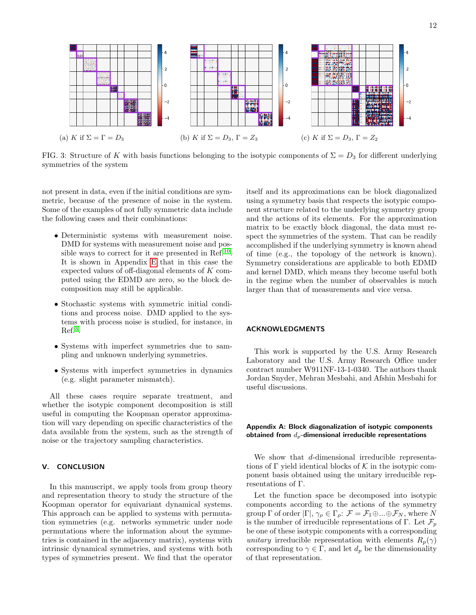<span id="page-11-1"></span>

FIG. 3: Structure of K with basis functions belonging to the isotypic components of  $\Sigma = D_3$  for different underlying symmetries of the system

not present in data, even if the initial conditions are symmetric, because of the presence of noise in the system. Some of the examples of not fully symmetric data include the following cases and their combinations:

- Deterministic systems with measurement noise. DMD for systems with measurement noise and pos-sible ways to correct for it are presented in Ref.<sup>[10](#page-14-16)</sup>. It is shown in Appendix [E](#page-13-0) that in this case the expected values of off-diagonal elements of K computed using the EDMD are zero, so the block decomposition may still be applicable.
- Stochastic systems with symmetric initial conditions and process noise. DMD applied to the systems with process noise is studied, for instance, in  $Ref.^3$  $Ref.^3$ .
- Systems with imperfect symmetries due to sampling and unknown underlying symmetries.
- Systems with imperfect symmetries in dynamics (e.g. slight parameter mismatch).

All these cases require separate treatment, and whether the isotypic component decomposition is still useful in computing the Koopman operator approximation will vary depending on specific characteristics of the data available from the system, such as the strength of noise or the trajectory sampling characteristics.

### V. CONCLUSION

In this manuscript, we apply tools from group theory and representation theory to study the structure of the Koopman operator for equivariant dynamical systems. This approach can be applied to systems with permutation symmetries (e.g. networks symmetric under node permutations where the information about the symmetries is contained in the adjacency matrix), systems with intrinsic dynamical symmetries, and systems with both types of symmetries present. We find that the operator

itself and its approximations can be block diagonalized using a symmetry basis that respects the isotypic component structure related to the underlying symmetry group and the actions of its elements. For the approximation matrix to be exactly block diagonal, the data must respect the symmetries of the system. That can be readily accomplished if the underlying symmetry is known ahead of time (e.g., the topology of the network is known). Symmetry considerations are applicable to both EDMD and kernel DMD, which means they become useful both in the regime when the number of observables is much larger than that of measurements and vice versa.

# ACKNOWLEDGMENTS

This work is supported by the U.S. Army Research Laboratory and the U.S. Army Research Office under contract number W911NF-13-1-0340. The authors thank Jordan Snyder, Mehran Mesbahi, and Afshin Mesbahi for useful discussions.

# <span id="page-11-0"></span>Appendix A: Block diagonalization of isotypic components obtained from  $d_p$ -dimensional irreducible representations

We show that d-dimensional irreducible representations of  $\Gamma$  yield identical blocks of  $\mathcal K$  in the isotypic component basis obtained using the unitary irreducible representations of Γ.

Let the function space be decomposed into isotypic components according to the actions of the symmetry group  $\Gamma$  of order  $|\Gamma|, \gamma_{\rho} \in \Gamma_{\rho}: \mathcal{F} = \mathcal{F}_1 \oplus ... \oplus \mathcal{F}_N$ , where N is the number of irreducible representations of Γ. Let  $\mathcal{F}_p$ be one of these isotypic components with a corresponding unitary irreducible representation with elements  $R_p(\gamma)$ corresponding to  $\gamma \in \Gamma$ , and let  $d_p$  be the dimensionality of that representation.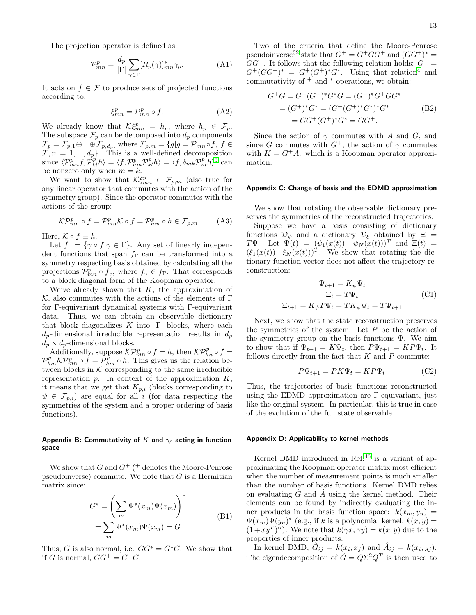The projection operator is defined as:

$$
\mathcal{P}_{mn}^p = \frac{d_p}{|\Gamma|} \sum_{\gamma \in \Gamma} [R_p(\gamma)]_{mn}^* \gamma_\rho.
$$
 (A1)

It acts on  $f \in \mathcal{F}$  to produce sets of projected functions according to:

$$
\xi_{mn}^p = \mathcal{P}_{mn}^p \circ f. \tag{A2}
$$

We already know that  $\mathcal{K}\xi_{mn}^p = h_p$ , where  $h_p \in \mathcal{F}_p$ . The subspace  $\mathcal{F}_p$  can be decomposed into  $d_p$  components  $\mathcal{F}_p = \mathcal{F}_{p,1} \oplus ... \oplus \mathcal{F}_{p,d_p}$ , where  $\mathcal{F}_{p,m} = \{g | g = \mathcal{P}_{mn} \circ f, f \in$  $\mathcal{F}, n = 1, ..., d_p$ . This is a well-defined decomposition since  $\langle \mathcal{P}_{mn}^{p} f, \mathcal{P}_{kl}^{p} h \rangle = \langle f, \mathcal{P}_{nm}^{p} \mathcal{P}_{kl}^{p} h \rangle = \langle f, \delta_{mk} \mathcal{P}_{nl}^{p} h \rangle^{9}$  $\langle \mathcal{P}_{mn}^{p} f, \mathcal{P}_{kl}^{p} h \rangle = \langle f, \mathcal{P}_{nm}^{p} \mathcal{P}_{kl}^{p} h \rangle = \langle f, \delta_{mk} \mathcal{P}_{nl}^{p} h \rangle^{9}$  $\langle \mathcal{P}_{mn}^{p} f, \mathcal{P}_{kl}^{p} h \rangle = \langle f, \mathcal{P}_{nm}^{p} \mathcal{P}_{kl}^{p} h \rangle = \langle f, \delta_{mk} \mathcal{P}_{nl}^{p} h \rangle^{9}$  can be nonzero only when  $m = k$ .

We want to show that  $\mathcal{K}\xi_{mn}^p \in \mathcal{F}_{p,m}$  (also true for any linear operator that commutes with the action of the symmetry group). Since the operator commutes with the actions of the group:

$$
\mathcal{KP}_{mn}^p \circ f = \mathcal{P}_{mn}^p \mathcal{K} \circ f = \mathcal{P}_{mn}^p \circ h \in \mathcal{F}_{p,m}.
$$
 (A3)

Here,  $K \circ f \equiv h$ .

Let  $f_{\Gamma} = \{ \gamma \circ f | \gamma \in \Gamma \}$ . Any set of linearly independent functions that span  $f_{\Gamma}$  can be transformed into a symmetry respecting basis obtained by calculating all the projections  $\mathcal{P}_{mn}^p \circ f_\gamma$ , where  $f_\gamma \in f_\Gamma$ . That corresponds to a block diagonal form of the Koopman operator.

We've already shown that  $K$ , the approximation of  $K$ , also commutes with the actions of the elements of  $\Gamma$ for Γ-equivariant dynamical systems with Γ-equivariant data. Thus, we can obtain an observable dictionary that block diagonalizes K into  $|\Gamma|$  blocks, where each  $d_n$ -dimensional irreducible representation results in  $d_n$  $d_p \times d_p$ -dimensional blocks.

Additionally, suppose  $\mathcal{KP}_{mn}^p \circ f = h$ , then  $\mathcal{KP}_{kn}^p \circ f =$  $\mathcal{P}_{km}^p \mathcal{K} \mathcal{P}_{mn}^p \circ f = \mathcal{P}_{km}^p \circ h$ . This gives us the relation between blocks in  $K$  corresponding to the same irreducible representation  $p$ . In context of the approximation  $K$ , it means that we get that  $K_{p,i}$  (blocks corresponding to  $\psi \in \mathcal{F}_{p,i}$  are equal for all i (for data respecting the symmetries of the system and a proper ordering of basis functions).

### <span id="page-12-1"></span>Appendix B: Commutativity of K and  $\gamma_\rho$  acting in function space

We show that  $G$  and  $G^+$  (<sup>+</sup> denotes the Moore-Penrose pseudoinverse) commute. We note that  $G$  is a Hermitian matrix since:

$$
G^* = \left(\sum_m \Psi^*(x_m) \Psi(x_m)\right)^*
$$
  
= 
$$
\sum_m \Psi^*(x_m) \Psi(x_m) = G
$$
 (B1)

Thus, G is also normal, i.e.  $GG^* = G^*G$ . We show that if G is normal,  $GG^+ = G^+G$ .

Two of the criteria that define the Moore-Penrose pseudoinverse<sup>[32](#page-15-23)</sup> state that  $G^+ = G^+GG^+$  and  $(GG^+)^* =$  $GG^+$ . It follows that the following relation holds:  $G^+$  =  $G^+(GG^+)^* = G^+(G^+)^*G^*$ . Using that relation<sup>[4](#page-14-18)</sup> and commutativity of  $+$  and  $*$  operations, we obtain:

$$
G^{+}G = G^{+}(G^{+})^{*}G^{*}G = (G^{+})^{*}G^{+}GG^{*}
$$
  
= 
$$
(G^{+})^{*}G^{*} = (G^{+}(G^{+})^{*}G^{*})^{*}G^{*}
$$
  
= 
$$
GG^{+}(G^{+})^{*}G^{*} = GG^{+}.
$$
 (B2)

Since the action of  $\gamma$  commutes with A and G, and since G commutes with  $G^+$ , the action of  $\gamma$  commutes with  $K = G^+A$ , which is a Koopman operator approximation.

### <span id="page-12-2"></span>Appendix C: Change of basis and the EDMD approximation

We show that rotating the observable dictionary preserves the symmetries of the reconstructed trajectories.

Suppose we have a basis consisting of dictionary functions  $\mathcal{D}_{\psi}$  and a dictionary  $\mathcal{D}_{\xi}$  obtained by  $\Xi$  = TΨ. Let  $\Psi(t) = (\psi_1(x(t)) \psi_N(x(t)))^T$  and  $\Xi(t) =$  $(\xi_1(x(t)) \xi_N(x(t)))^T$ . We show that rotating the dictionary function vector does not affect the trajectory reconstruction:

$$
\Psi_{t+1} = K_{\psi} \Psi_t
$$
  
\n
$$
\Xi_t = T \Psi_t
$$
  
\n
$$
\Xi_{t+1} = K_{\psi} T \Psi_t = T K_{\psi} \Psi_t = T \Psi_{t+1}
$$
\n(C1)

Next, we show that the state reconstruction preserves the symmetries of the system. Let  $P$  be the action of the symmetry group on the basis functions  $\Psi$ . We aim to show that if  $\Psi_{t+1} = K \Psi_t$ , then  $P \Psi_{t+1} = K P \Psi_t$ . It follows directly from the fact that  $K$  and  $P$  commute:

$$
P\Psi_{t+1} = PK\Psi_t = KP\Psi_t \tag{C2}
$$

Thus, the trajectories of basis functions reconstructed using the EDMD approximation are Γ-equivariant, just like the original system. In particular, this is true in case of the evolution of the full state observable.

#### <span id="page-12-0"></span>Appendix D: Applicability to kernel methods

Kernel DMD introduced in Ref.<sup>[46](#page-15-15)</sup> is a variant of approximating the Koopman operator matrix most efficient when the number of measurement points is much smaller than the number of basis functions. Kernel DMD relies on evaluating  $\tilde{G}$  and  $\tilde{A}$  using the kernel method. Their elements can be found by indirectly evaluating the inner products in the basis function space:  $k(x_m, y_n)$  =  $\Psi(x_m)\Psi(y_n)^*$  (e.g., if k is a polynomial kernel,  $k(x, y) =$  $(1+xy^T)^{\alpha}$ ). We note that  $k(\gamma x, \gamma y) = k(x, y)$  due to the properties of inner products.

In kernel DMD,  $\hat{G}_{ij} = k(x_i, x_j)$  and  $\hat{A}_{ij} = k(x_i, y_j)$ . The eigendecomposition of  $\hat{G} = Q\Sigma^2 Q^T$  is then used to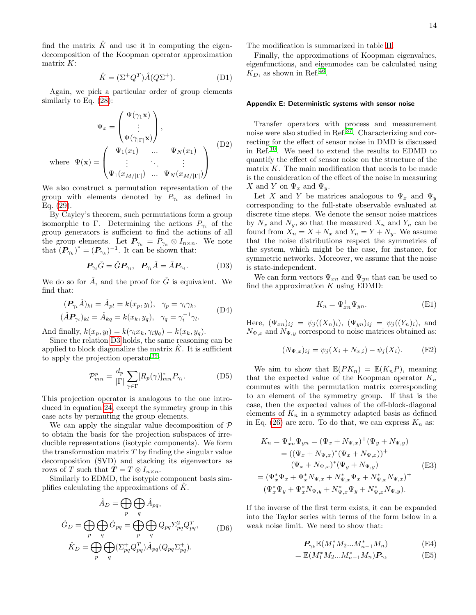find the matrix  $\hat{K}$  and use it in computing the eigendecomposition of the Koopman operator approximation matrix K:

$$
\hat{K} = (\Sigma^+ Q^T) \hat{A} (Q \Sigma^+). \tag{D1}
$$

Again, we pick a particular order of group elements similarly to Eq. [\(28\)](#page-7-3):

$$
\Psi_x = \begin{pmatrix} \Psi(\gamma_1 \mathbf{x}) \\ \vdots \\ \Psi(\gamma_{|\Gamma|} \mathbf{x}) \end{pmatrix},
$$
  
where  $\Psi(\mathbf{x}) = \begin{pmatrix} \Psi_1(x_1) & \dots & \Psi_N(x_1) \\ \vdots & \ddots & \vdots \\ \Psi_1(x_{M/|\Gamma|}) & \dots & \Psi_N(x_{M/|\Gamma|}) \end{pmatrix}$  (D2)

We also construct a permutation representation of the group with elements denoted by  $P_{\gamma_i}$  as defined in Eq. [\(29\)](#page-7-4).

By Cayley's theorem, such permutations form a group isomorphic to Γ. Determining the actions  $P_{\gamma_i}$  of the group generators is sufficient to find the actions of all the group elements. Let  $P_{\gamma_k} = P_{\gamma_k} \otimes I_{n \times n}$ . We note that  $(P_{\gamma_k})^* = (P_{\gamma_k})^{-1}$ . It can be shown that:

$$
\boldsymbol{P}_{\gamma_i}\hat{G} = \hat{G}\boldsymbol{P}_{\gamma_i}, \quad \boldsymbol{P}_{\gamma_i}\hat{A} = \hat{A}\boldsymbol{P}_{\gamma_i}.
$$
 (D3)

We do so for  $\hat{A}$ , and the proof for  $\hat{G}$  is equivalent. We find that:

$$
(\boldsymbol{P}_{\gamma_i} \hat{A})_{kl} = \hat{A}_{pl} = k(x_p, y_l), \quad \gamma_p = \gamma_i \gamma_k,
$$
  

$$
(\hat{A} \boldsymbol{P}_{\gamma_i})_{kl} = \hat{A}_{kq} = k(x_k, y_q), \quad \gamma_q = \gamma_i^{-1} \gamma_l.
$$
 (D4)

And finally,  $k(x_p, y_l) = k(\gamma_i x_k, \gamma_i y_q) = k(x_k, y_q)$ .

Since the relation [D3](#page-13-1) holds, the same reasoning can be applied to block diagonalize the matrix  $\hat{K}$ . It is sufficient to apply the projection operator<sup>[39](#page-15-24)</sup>:

$$
\mathcal{P}_{mn}^p = \frac{d_p}{|\Gamma|} \sum_{\gamma \in \Gamma} [R_p(\gamma)]_{mn}^* P_{\gamma_i}.
$$
 (D5)

This projection operator is analogous to the one introduced in equation [24,](#page-6-3) except the symmetry group in this case acts by permuting the group elements.

We can apply the singular value decomposition of  $\mathcal P$ to obtain the basis for the projection subspaces of irreducible representations (isotypic components). We form the transformation matrix  $T$  by finding the singular value decomposition (SVD) and stacking its eigenvectors as rows of T such that  $T = T \otimes I_{n \times n}$ .

Similarly to EDMD, the isotypic component basis simplifies calculating the approximations of  $K$ .

$$
\hat{A}_D = \bigoplus_p \bigoplus_q \hat{A}_{pq},
$$
\n
$$
\hat{G}_D = \bigoplus_p \bigoplus_q \hat{G}_{pq} = \bigoplus_p \bigoplus_q Q_{pq} \Sigma_{pq}^2 Q_{pq}^T, \qquad (D6)
$$
\n
$$
\hat{K}_D = \bigoplus_p \bigoplus_q (\Sigma_{pq}^+ Q_{pq}^T) \hat{A}_{pq} (Q_{pq} \Sigma_{pq}^+).
$$

The modification is summarized in table [II.](#page-14-19)

Finally, the approximations of Koopman eigenvalues, eigenfunctions, and eigenmodes can be calculated using  $K_D$ , as shown in Ref.<sup>[46](#page-15-15)</sup>.

### <span id="page-13-0"></span>Appendix E: Deterministic systems with sensor noise

Transfer operators with process and measurement noise were also studied in Ref.[37](#page-15-25). Characterizing and correcting for the effect of sensor noise in DMD is discussed in Ref.[10](#page-14-16). We need to extend the results to EDMD to quantify the effect of sensor noise on the structure of the matrix  $K$ . The main modification that needs to be made is the consideration of the effect of the noise in measuring X and Y on  $\Psi_x$  and  $\Psi_y$ .

Let X and Y be matrices analogous to  $\Psi_x$  and  $\Psi_y$ corresponding to the full-state observable evaluated at discrete time steps. We denote the sensor noise matrices by  $N_x$  and  $N_y$ , so that the measured  $X_n$  and  $Y_n$  can be found from  $X_n = X + N_x$  and  $Y_n = Y + N_y$ . We assume that the noise distributions respect the symmetries of the system, which might be the case, for instance, for symmetric networks. Moreover, we assume that the noise is state-independent.

<span id="page-13-1"></span>We can form vectors  $\Psi_{xn}$  and  $\Psi_{yn}$  that can be used to find the approximation  $K$  using EDMD:

$$
K_n = \Psi_{xn}^+ \Psi_{yn}.
$$
 (E1)

Here,  $(\Psi_{xn})_{ij} = \psi_j((X_n)_i)$ ,  $(\Psi_{yn})_{ij} = \psi_j((Y_n)_i)$ , and  $N_{\Psi,x}$  and  $N_{\Psi,y}$  correspond to noise matrices obtained as:

$$
(N_{\Psi,x})_{ij} = \psi_j(X_i + N_{x,i}) - \psi_j(X_i). \tag{E2}
$$

<span id="page-13-2"></span>We aim to show that  $\mathbb{E}(PK_n) = \mathbb{E}(K_nP)$ , meaning that the expected value of the Koopman operator  $K_n$ commutes with the permutation matrix corresponding to an element of the symmetry group. If that is the case, then the expected values of the off-block-diagonal elements of  $K_n$  in a symmetry adapted basis as defined in Eq. [\(26\)](#page-6-1) are zero. To do that, we can express  $K_n$  as:

$$
K_n = \Psi_{xn}^+ \Psi_{yn} = (\Psi_x + N_{\Psi,x})^+ (\Psi_y + N_{\Psi,y})
$$
  
\n
$$
= ((\Psi_x + N_{\Psi,x})^* (\Psi_x + N_{\Psi,x}))^+
$$
  
\n
$$
(\Psi_x + N_{\Psi,x})^* (\Psi_y + N_{\Psi,y})
$$
  
\n
$$
= (\Psi_x^* \Psi_x + \Psi_x^* N_{\Psi,x} + N_{\Psi,x}^* \Psi_x + N_{\Psi,x}^* N_{\Psi,x})^+
$$
  
\n
$$
(\Psi_x^* \Psi_y + \Psi_x^* N_{\Psi,y} + N_{\Psi,x}^* \Psi_y + N_{\Psi,x}^* N_{\Psi,y}).
$$
 (E3)

If the inverse of the first term exists, it can be expanded into the Taylor series with terms of the form below in a weak noise limit. We need to show that:

$$
\boldsymbol{P}_{\gamma_k} \mathbb{E}(M_1^* M_2 \dots M_{n-1}^* M_n) \tag{E4}
$$

$$
= \mathbb{E}(M_1^* M_2 \dots M_{n-1}^* M_n) \mathbf{P}_{\gamma_k} \tag{E5}
$$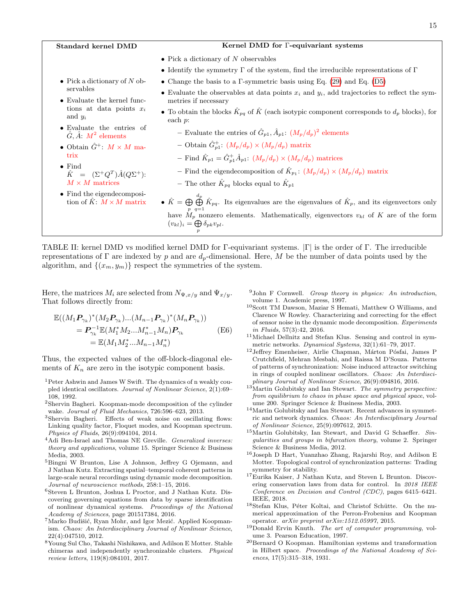<span id="page-14-19"></span>

| Standard kernel DMD                                                  | Kernel DMD for <i>F</i> -equivariant systems                                                                                                                                                                                                                                 |
|----------------------------------------------------------------------|------------------------------------------------------------------------------------------------------------------------------------------------------------------------------------------------------------------------------------------------------------------------------|
|                                                                      | • Pick a dictionary of $N$ observables                                                                                                                                                                                                                                       |
|                                                                      | • Identify the symmetry $\Gamma$ of the system, find the irreducible representations of $\Gamma$                                                                                                                                                                             |
| • Pick a dictionary of N ob-                                         | • Change the basis to a $\Gamma$ -symmetric basis using Eq. (29) and Eq. (D5)                                                                                                                                                                                                |
| servables<br>• Evaluate the kernel func-                             | • Evaluate the observables at data points $x_i$ and $y_i$ , add trajectories to reflect the sym-<br>metries if necessary                                                                                                                                                     |
| tions at data points $x_i$<br>and $y_i$                              | • To obtain the blocks $\hat{K}_{pq}$ of $\hat{K}$ (each isotypic component corresponds to $d_p$ blocks), for<br>each $p$ :                                                                                                                                                  |
| • Evaluate the entries of<br>$\hat{G}, \hat{A}$ : $M^2$ elements     | - Evaluate the entries of $\hat{G}_{p1}, \hat{A}_{p1}: (M_p/d_p)^2$ elements                                                                                                                                                                                                 |
| • Obtain $\hat{G}^+$ : $M \times M$ ma-                              | - Obtain $\hat{G}_{n1}^+$ : $(M_p/d_p) \times (M_p/d_p)$ matrix                                                                                                                                                                                                              |
| trix                                                                 | - Find $\hat{K}_{p1} = \hat{G}_{p1}^{\dagger} \hat{A}_{p1}$ : $(M_p/d_p) \times (M_p/d_p)$ matrices                                                                                                                                                                          |
| $\bullet$ Find<br>$\hat{K} = (\Sigma^+ Q^T) \hat{A} (Q \Sigma^+).$   | - Find the eigendecomposition of $\hat{K}_{p_1}$ : $(M_p/d_p) \times (M_p/d_p)$ matrix                                                                                                                                                                                       |
| $M \times M$ matrices                                                | - The other $\hat{K}_{pq}$ blocks equal to $\hat{K}_{p1}$                                                                                                                                                                                                                    |
| $\bullet$ Find the eigendecomposi-<br>tion of $K: M \times M$ matrix | • $\hat{K} = \bigoplus_{i=1}^{d_p} \hat{K}_{pq}$ . Its eigenvalues are the eigenvalues of $\hat{K}_p$ , and its eigenvectors only<br>have $M_p$ nonzero elements. Mathematically, eigenvectors $v_{kl}$ of K are of the form<br>$(v_{kl})_i = \bigoplus \delta_{pk} v_{pl}.$ |

TABLE II: kernel DMD vs modified kernel DMD for Γ-equivariant systems. |Γ| is the order of Γ. The irreducible representations of Γ are indexed by p and are  $d_p$ -dimensional. Here, M be the number of data points used by the algorithm, and  $\{(x_m, y_m)\}\)$  respect the symmetries of the system.

Here, the matrices  $M_i$  are selected from  $N_{\Psi,x/y}$  and  $\Psi_{x/y}$ . That follows directly from:

$$
\mathbb{E}((M_1 P_{\gamma_k})^*(M_2 P_{\gamma_k})...(M_{n-1} P_{\gamma_k})^*(M_n P_{\gamma_k}))
$$
  
=  $P_{\gamma_k}^{-1} \mathbb{E}(M_1^* M_2... M_{n-1}^* M_n) P_{\gamma_k}$   
=  $\mathbb{E}(M_1 M_2^*... M_{n-1} M_n^*)$  (E6)

Thus, the expected values of the off-block-diagonal elements of  $K_n$  are zero in the isotypic component basis.

- <span id="page-14-5"></span><sup>1</sup>Peter Ashwin and James W Swift. The dynamics of n weakly coupled identical oscillators. Journal of Nonlinear Science, 2(1):69– 108, 1992.
- <span id="page-14-10"></span><sup>2</sup>Shervin Bagheri. Koopman-mode decomposition of the cylinder wake. Journal of Fluid Mechanics, 726:596–623, 2013.
- <span id="page-14-17"></span><sup>3</sup>Shervin Bagheri. Effects of weak noise on oscillating flows: Linking quality factor, Floquet modes, and Koopman spectrum. Physics of Fluids, 26(9):094104, 2014.
- <span id="page-14-18"></span><sup>4</sup>Adi Ben-Israel and Thomas NE Greville. Generalized inverses: theory and applications, volume 15. Springer Science & Business Media, 2003.
- <span id="page-14-11"></span><sup>5</sup>Bingni W Brunton, Lise A Johnson, Jeffrey G Ojemann, and J Nathan Kutz. Extracting spatial–temporal coherent patterns in large-scale neural recordings using dynamic mode decomposition. Journal of neuroscience methods, 258:1–15, 2016.
- <span id="page-14-12"></span><sup>6</sup>Steven L Brunton, Joshua L Proctor, and J Nathan Kutz. Discovering governing equations from data by sparse identification of nonlinear dynamical systems. Proceedings of the National Academy of Sciences, page 201517384, 2016.
- <span id="page-14-9"></span> $7$ Marko Budišić, Ryan Mohr, and Igor Mezić. Applied Koopmanism. Chaos: An Interdisciplinary Journal of Nonlinear Science, 22(4):047510, 2012.
- <span id="page-14-2"></span><sup>8</sup>Young Sul Cho, Takashi Nishikawa, and Adilson E Motter. Stable chimeras and independently synchronizable clusters. Physical review letters, 119(8):084101, 2017.
- <span id="page-14-14"></span> $9$ John F Cornwell. Group theory in physics: An introduction, volume 1. Academic press, 1997.
- <span id="page-14-16"></span><sup>10</sup>Scott TM Dawson, Maziar S Hemati, Matthew O Williams, and Clarence W Rowley. Characterizing and correcting for the effect of sensor noise in the dynamic mode decomposition. Experiments in Fluids, 57(3):42, 2016.
- <span id="page-14-6"></span> $^{11}\rm{Michael}$  Dellnitz and Stefan Klus. Sensing and control in symmetric networks. Dynamical Systems, 32(1):61–79, 2017.
- <span id="page-14-3"></span> $^{12}\rm{Jeffrey}$ Emenheiser, Airlie Chapman, Márton Pósfai, James P Crutchfield, Mehran Mesbahi, and Raissa M D'Souza. Patterns of patterns of synchronization: Noise induced attractor switching in rings of coupled nonlinear oscillators. Chaos: An Interdisciplinary Journal of Nonlinear Science, 26(9):094816, 2016.
- <span id="page-14-0"></span> $13$ Martin Golubitsky and Ian Stewart. The symmetry perspective: from equilibrium to chaos in phase space and physical space, volume 200. Springer Science & Business Media, 2003.
- $^{14}\rm{Martin}$  Golubitsky and Ian Stewart. Recent advances in symmetric and network dynamics. Chaos: An Interdisciplinary Journal of Nonlinear Science, 25(9):097612, 2015.
- <span id="page-14-1"></span><sup>15</sup>Martin Golubitsky, Ian Stewart, and David G Schaeffer. Singularities and groups in bifurcation theory, volume 2. Springer Science & Business Media, 2012.
- <span id="page-14-4"></span> $^{16}\rm{Joseph}$ D Hart, Yuanzhao Zhang, Rajarshi Roy, and Adilson E Motter. Topological control of synchronization patterns: Trading symmetry for stability.
- <span id="page-14-13"></span><sup>17</sup>Eurika Kaiser, J Nathan Kutz, and Steven L Brunton. Discovering conservation laws from data for control. In 2018 IEEE Conference on Decision and Control (CDC), pages 6415–6421. IEEE, 2018.
- <span id="page-14-7"></span><sup>18</sup>Stefan Klus, Péter Koltai, and Christof Schütte. On the numerical approximation of the Perron-Frobenius and Koopman operator. arXiv preprint arXiv:1512.05997, 2015.
- <span id="page-14-15"></span>19Donald Ervin Knuth. The art of computer programming, volume 3. Pearson Education, 1997.
- <span id="page-14-8"></span><sup>20</sup>Bernard O Koopman. Hamiltonian systems and transformation in Hilbert space. Proceedings of the National Academy of Sciences, 17(5):315–318, 1931.